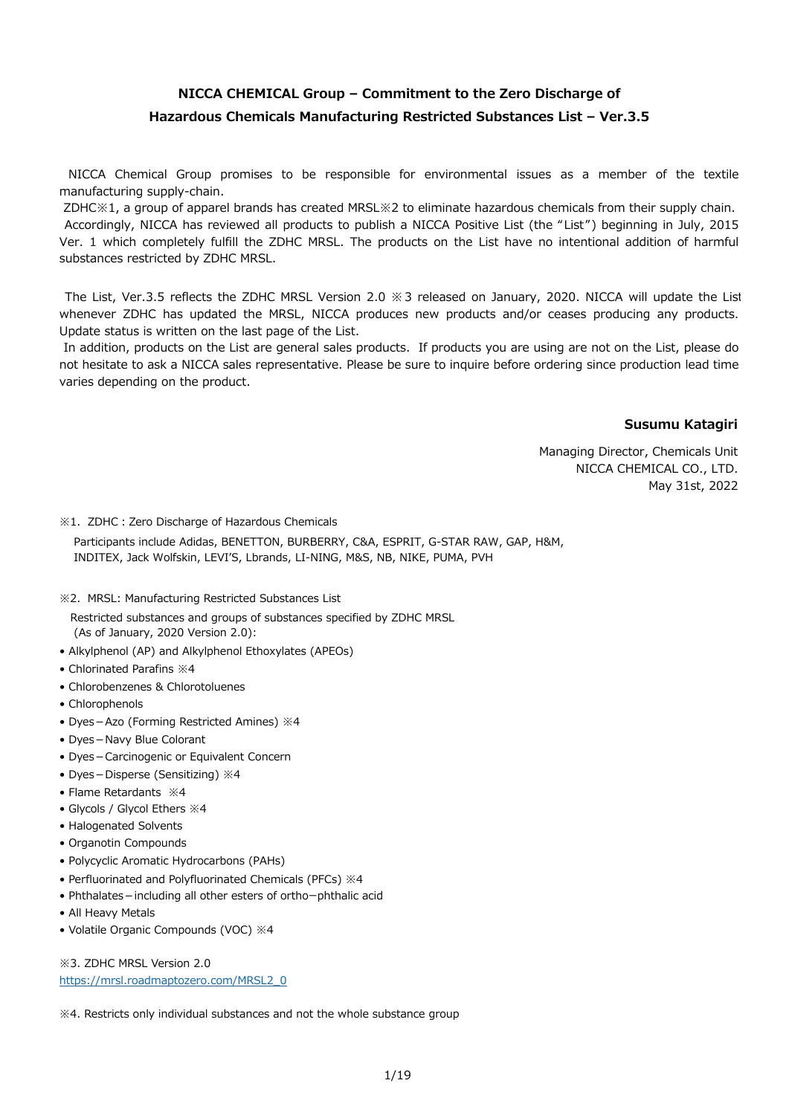## **NICCA CHEMICAL Group – Commitment to the Zero Discharge of Hazardous Chemicals Manufacturing Restricted Substances List – Ver.3.5**

NICCA Chemical Group promises to be responsible for environmental issues as a member of the textile manufacturing supply-chain.

 ZDHC※1, a group of apparel brands has created MRSL※2 to eliminate hazardous chemicals from their supply chain. Accordingly, NICCA has reviewed all products to publish a NICCA Positive List (the "List") beginning in July, 2015 Ver. 1 which completely fulfill the ZDHC MRSL. The products on the List have no intentional addition of harmful substances restricted by ZDHC MRSL.

The List, Ver.3.5 reflects the ZDHC MRSL Version 2.0 ※3 released on January, 2020. NICCA will update the List whenever ZDHC has updated the MRSL, NICCA produces new products and/or ceases producing any products. Update status is written on the last page of the List.

In addition, products on the List are general sales products. If products you are using are not on the List, please do not hesitate to ask a NICCA sales representative. Please be sure to inquire before ordering since production lead time varies depending on the product.

### **Susumu Katagiri**

Managing Director, Chemicals Unit NICCA CHEMICAL CO., LTD. May 31st, 2022

※1.ZDHC:Zero Discharge of Hazardous Chemicals

 Participants include Adidas, BENETTON, BURBERRY, C&A, ESPRIT, G-STAR RAW, GAP, H&M, INDITEX, Jack Wolfskin, LEVI'S, Lbrands, LI-NING, M&S, NB, NIKE, PUMA, PVH

※2.MRSL: Manufacturing Restricted Substances List

 Restricted substances and groups of substances specified by ZDHC MRSL (As of January, 2020 Version 2.0):

- Alkylphenol (AP) and Alkylphenol Ethoxylates (APEOs)
- Chlorinated Parafins ※4
- Chlorobenzenes & Chlorotoluenes
- Chlorophenols
- Dyes-Azo (Forming Restricted Amines) ※4
- Dyes-Navy Blue Colorant
- Dyes-Carcinogenic or Equivalent Concern
- Dyes-Disperse (Sensitizing) ※4
- Flame Retardants ※4
- Glycols / Glycol Ethers ※4
- Halogenated Solvents
- Organotin Compounds
- Polycyclic Aromatic Hydrocarbons (PAHs)
- Perfluorinated and Polyfluorinated Chemicals (PFCs) ※4
- Phthalates-including all other esters of orthoーphthalic acid
- All Heavy Metals
- Volatile Organic Compounds (VOC) ※4

※3. ZDHC MRSL Version 2.0 [https://mrsl.roadmaptozero.com/MRSL2\\_0](https://mrsl.roadmaptozero.com/MRSL2_0)

※4. Restricts only individual substances and not the whole substance group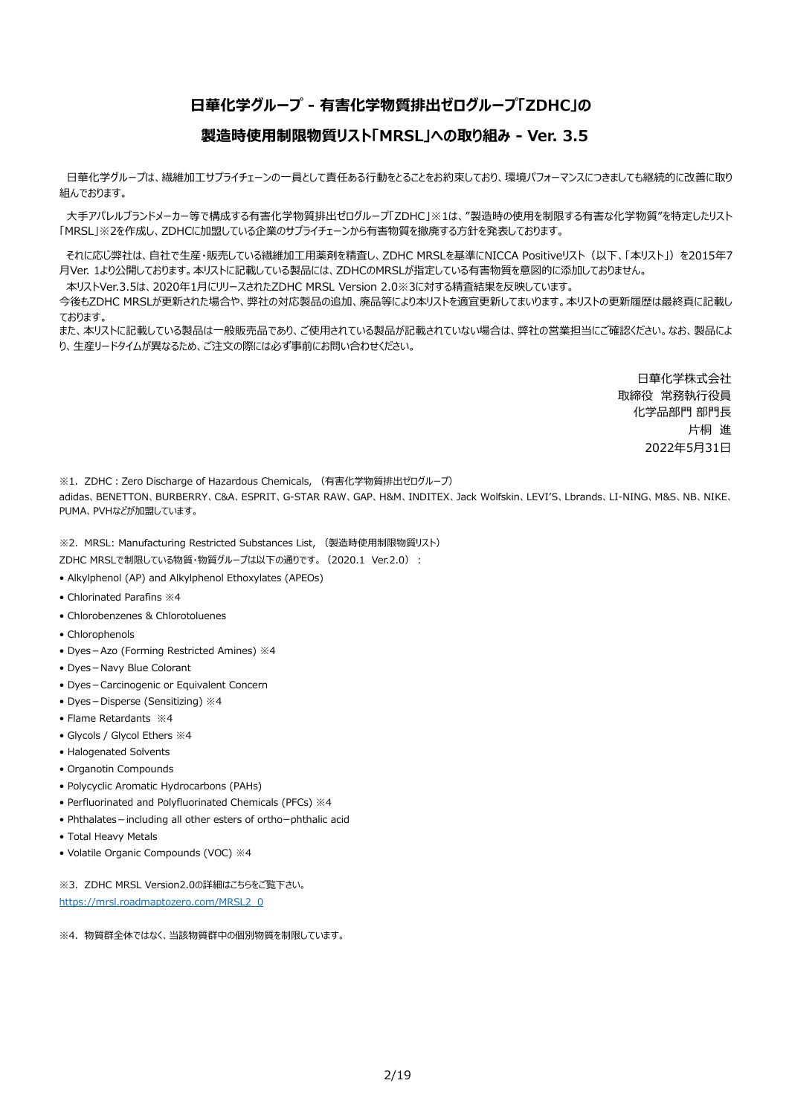## **日華化学グループ - 有害化学物質排出ゼログループ「ZDHC」の**

### **製造時使用制限物質リスト「MRSL」への取り組み - Ver. 3.5**

日華化学グループは、繊維加工サプライチェーンの一員として責任ある行動をとることをお約束しており、環境パフォーマンスにつきましても継続的に改善に取り 組んでおります。

大手アパレルブランドメーカー等で構成する有害化学物質排出ゼログループ「ZDHC」※1は、"製造時の使用を制限する有害な化学物質"を特定したリスト 「MRSL」※2を作成し、ZDHCに加盟している企業のサプライチェーンから有害物質を撤廃する方針を発表しております。

それに応じ弊社は、自社で生産・販売している繊維加工用薬剤を精査し、ZDHC MRSLを基準にNICCA Positiveリスト(以下、「本リスト」)を2015年7 月Ver. 1より公開しております。本リストに記載している製品には、ZDHCのMRSLが指定している有害物質を意図的に添加しておりません。

本リストVer.3.5は、2020年1月にリリースされたZDHC MRSL Version 2.0※3に対する精査結果を反映しています。

今後もZDHC MRSLが更新された場合や、弊社の対応製品の追加、廃品等により本リストを適宜更新してまいります。本リストの更新履歴は最終頁に記載し ております。

また、本リストに記載している製品は一般販売品であり、ご使用されている製品が記載されていない場合は、弊社の営業担当にご確認ください。なお、製品によ り、生産リードタイムが異なるため、ご注文の際には必ず事前にお問い合わせください。

> 日華化学株式会社 取締役 常務執行役員 化学品部門 部門長 片桐 進 2022年5月31日

※1. ZDHC: Zero Discharge of Hazardous Chemicals, (有害化学物質排出ゼログループ) adidas、BENETTON、BURBERRY、C&A、ESPRIT、G-STAR RAW、GAP、H&M、INDITEX、Jack Wolfskin、LEVI'S、Lbrands、LI-NING、M&S、NB、NIKE、 PUMA、PVHなどが加盟しています。

※2.MRSL: Manufacturing Restricted Substances List, (製造時使用制限物質リスト)

- ZDHC MRSLで制限している物質・物質グループは以下の通りです。(2020.1 Ver.2.0):
- Alkylphenol (AP) and Alkylphenol Ethoxylates (APEOs)
- Chlorinated Parafins ※4
- Chlorobenzenes & Chlorotoluenes
- Chlorophenols
- Dyes-Azo (Forming Restricted Amines) ※4
- Dyes-Navy Blue Colorant
- Dyes-Carcinogenic or Equivalent Concern
- Dyes-Disperse (Sensitizing) ※4
- Flame Retardants ※4
- Glycols / Glycol Ethers ※4
- Halogenated Solvents
- Organotin Compounds
- Polycyclic Aromatic Hydrocarbons (PAHs)
- Perfluorinated and Polyfluorinated Chemicals (PFCs) ※4
- Phthalates-including all other esters of orthoーphthalic acid
- Total Heavy Metals
- Volatile Organic Compounds (VOC) ※4

※3. ZDHC MRSL Version2.0の詳細はこちらをご覧下さい。 [https://mrsl.roadmaptozero.com/MRSL2\\_0](https://mrsl.roadmaptozero.com/MRSL2_0)

※4.物質群全体ではなく、当該物質群中の個別物質を制限しています。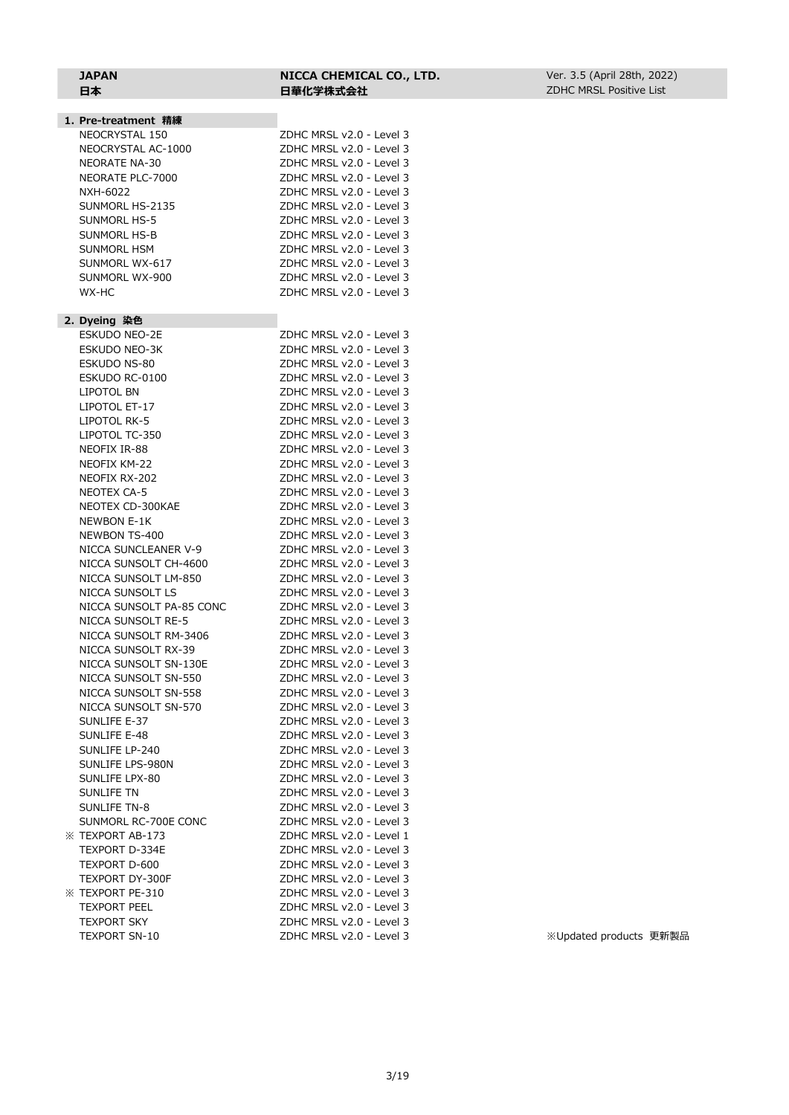#### **JAPAN NICCA CHEMICAL CO., LTD.** 日本<br>**日本 日華化学株式会社**

| 1. Pre-treatment 精練      |                          |
|--------------------------|--------------------------|
| NEOCRYSTAL 150           | ZDHC MRSL v2.0 - Level 3 |
| NEOCRYSTAL AC-1000       | ZDHC MRSL v2.0 - Level 3 |
| <b>NEORATE NA-30</b>     | ZDHC MRSL v2.0 - Level 3 |
| NEORATE PLC-7000         | ZDHC MRSL v2.0 - Level 3 |
| NXH-6022                 | ZDHC MRSL v2.0 - Level 3 |
| SUNMORL HS-2135          | ZDHC MRSL v2.0 - Level 3 |
| SUNMORL HS-5             | ZDHC MRSL v2.0 - Level 3 |
| SUNMORL HS-B             | ZDHC MRSL v2.0 - Level 3 |
| SUNMORL HSM              | ZDHC MRSL v2.0 - Level 3 |
| SUNMORL WX-617           | ZDHC MRSL v2.0 - Level 3 |
| SUNMORL WX-900           | ZDHC MRSL v2.0 - Level 3 |
| WX-HC                    | ZDHC MRSL v2.0 - Level 3 |
|                          |                          |
| 2. Dyeing 染色             |                          |
| <b>ESKUDO NEO-2E</b>     | ZDHC MRSL v2.0 - Level 3 |
| ESKUDO NEO-3K            | ZDHC MRSL v2.0 - Level 3 |
| ESKUDO NS-80             | ZDHC MRSL v2.0 - Level 3 |
| ESKUDO RC-0100           | ZDHC MRSL v2.0 - Level 3 |
| LIPOTOL BN               | ZDHC MRSL v2.0 - Level 3 |
| LIPOTOL ET-17            | ZDHC MRSL v2.0 - Level 3 |
| LIPOTOL RK-5             | ZDHC MRSL v2.0 - Level 3 |
| LIPOTOL TC-350           | ZDHC MRSL v2.0 - Level 3 |
| NEOFIX IR-88             | ZDHC MRSL v2.0 - Level 3 |
| NEOFIX KM-22             | ZDHC MRSL v2.0 - Level 3 |
| NEOFIX RX-202            | ZDHC MRSL v2.0 - Level 3 |
| <b>NEOTEX CA-5</b>       | ZDHC MRSL v2.0 - Level 3 |
| NEOTEX CD-300KAE         | ZDHC MRSL v2.0 - Level 3 |
| <b>NEWBON E-1K</b>       | ZDHC MRSL v2.0 - Level 3 |
| NEWBON TS-400            | ZDHC MRSL v2.0 - Level 3 |
| NICCA SUNCLEANER V-9     | ZDHC MRSL v2.0 - Level 3 |
| NICCA SUNSOLT CH-4600    | ZDHC MRSL v2.0 - Level 3 |
| NICCA SUNSOLT LM-850     | ZDHC MRSL v2.0 - Level 3 |
| NICCA SUNSOLT LS         | ZDHC MRSL v2.0 - Level 3 |
| NICCA SUNSOLT PA-85 CONC | ZDHC MRSL v2.0 - Level 3 |
| NICCA SUNSOLT RE-5       | ZDHC MRSL v2.0 - Level 3 |
| NICCA SUNSOLT RM-3406    | ZDHC MRSL v2.0 - Level 3 |
| NICCA SUNSOLT RX-39      | ZDHC MRSL v2.0 - Level 3 |
| NICCA SUNSOLT SN-130E    | ZDHC MRSL v2.0 - Level 3 |
| NICCA SUNSOLT SN-550     | ZDHC MRSL v2.0 - Level 3 |
| NICCA SUNSOLT SN-558     | ZDHC MRSL v2.0 - Level 3 |
| NICCA SUNSOLT SN-570     | ZDHC MRSL v2.0 - Level 3 |
| SUNLIFE E-37             | ZDHC MRSL v2.0 - Level 3 |
| SUNLIFE E-48             | ZDHC MRSL v2.0 - Level 3 |
| SUNLIFE LP-240           | ZDHC MRSL v2.0 - Level 3 |
| SUNLIFE LPS-980N         | ZDHC MRSL v2.0 - Level 3 |
| SUNLIFE LPX-80           | ZDHC MRSL v2.0 - Level 3 |
| <b>SUNLIFE TN</b>        | ZDHC MRSL v2.0 - Level 3 |
| <b>SUNLIFE TN-8</b>      | ZDHC MRSL v2.0 - Level 3 |
| SUNMORL RC-700E CONC     | ZDHC MRSL v2.0 - Level 3 |
| <b>※ TEXPORT AB-173</b>  | ZDHC MRSL v2.0 - Level 1 |
| TEXPORT D-334E           | ZDHC MRSL v2.0 - Level 3 |
| TEXPORT D-600            | ZDHC MRSL v2.0 - Level 3 |
| <b>TEXPORT DY-300F</b>   | ZDHC MRSL v2.0 - Level 3 |
| <b>※ TEXPORT PE-310</b>  | ZDHC MRSL v2.0 - Level 3 |
| <b>TEXPORT PEEL</b>      | ZDHC MRSL v2.0 - Level 3 |
|                          | ZDHC MRSL v2.0 - Level 3 |
| <b>TEXPORT SKY</b>       |                          |

TEXPORT SN-10 ZDHC MRSL v2.0 - Level 3 ※Updated products 更新製品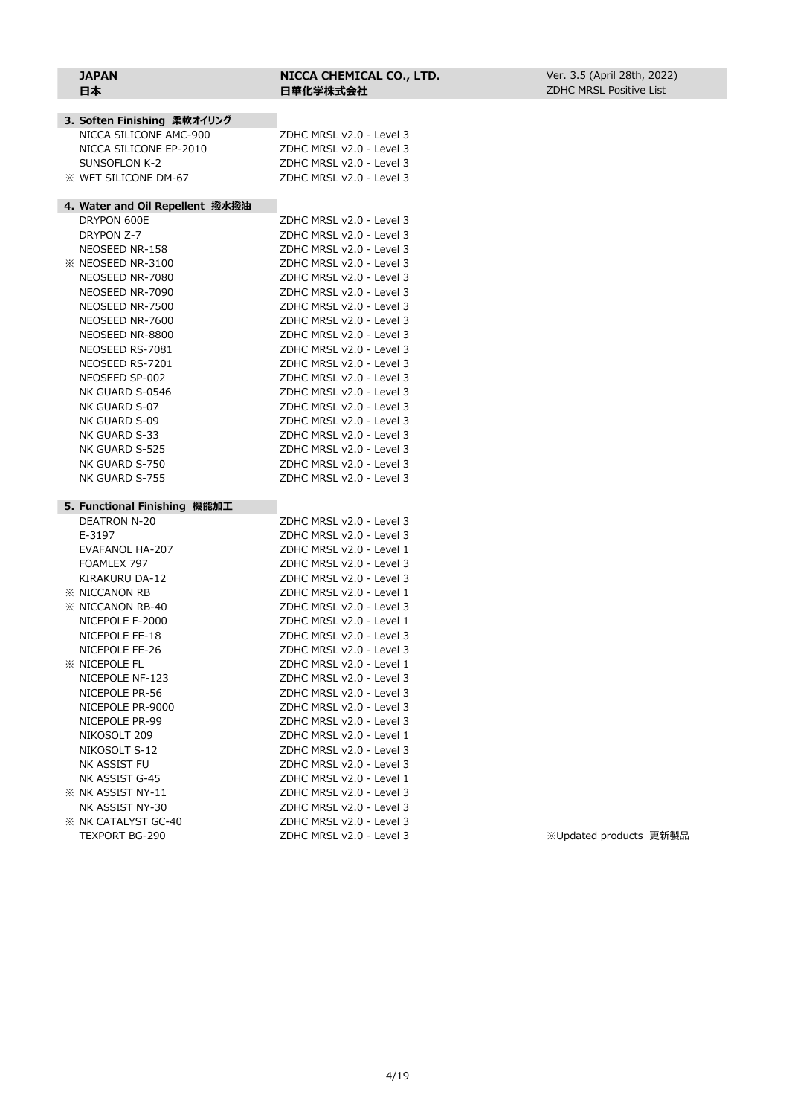| 3. Soften Finishing 柔軟オイリング       |                                                      |
|-----------------------------------|------------------------------------------------------|
| NICCA SILICONE AMC-900            | ZDHC MRSL v2.0 - Level 3                             |
| NICCA SILICONE EP-2010            | ZDHC MRSL v2.0 - Level 3                             |
| <b>SUNSOFLON K-2</b>              | ZDHC MRSL v2.0 - Level 3                             |
| <b>X WET SILICONE DM-67</b>       | ZDHC MRSL v2.0 - Level 3                             |
| 4. Water and Oil Repellent 撥水撥油   |                                                      |
| DRYPON 600E                       | ZDHC MRSL v2.0 - Level 3                             |
| DRYPON Z-7                        | ZDHC MRSL v2.0 - Level 3                             |
| NEOSEED NR-158                    | ZDHC MRSL v2.0 - Level 3                             |
| $\%$ NEOSEED NR-3100              | ZDHC MRSL v2.0 - Level 3                             |
| NEOSEED NR-7080                   | ZDHC MRSL v2.0 - Level 3                             |
| NEOSEED NR-7090                   | ZDHC MRSL v2.0 - Level 3                             |
| NEOSEED NR-7500                   | ZDHC MRSL v2.0 - Level 3                             |
| NEOSEED NR-7600                   | ZDHC MRSL v2.0 - Level 3                             |
| NEOSEED NR-8800                   | ZDHC MRSL v2.0 - Level 3                             |
| NEOSEED RS-7081                   | ZDHC MRSL v2.0 - Level 3                             |
| NEOSEED RS-7201                   | ZDHC MRSL v2.0 - Level 3                             |
| NEOSEED SP-002                    | ZDHC MRSL v2.0 - Level 3                             |
| NK GUARD S-0546                   | ZDHC MRSL v2.0 - Level 3                             |
| NK GUARD S-07                     | ZDHC MRSL v2.0 - Level 3                             |
| NK GUARD S-09                     | ZDHC MRSL v2.0 - Level 3                             |
| NK GUARD S-33                     | ZDHC MRSL v2.0 - Level 3                             |
| NK GUARD S-525                    | ZDHC MRSL v2.0 - Level 3                             |
| NK GUARD S-750                    | ZDHC MRSL v2.0 - Level 3                             |
| NK GUARD S-755                    | ZDHC MRSL v2.0 - Level 3                             |
| 5.Functional Finishing 機能加工       |                                                      |
| <b>DEATRON N-20</b>               | ZDHC MRSL v2.0 - Level 3                             |
| E-3197                            | ZDHC MRSL v2.0 - Level 3                             |
| EVAFANOL HA-207                   | ZDHC MRSL v2.0 - Level 1                             |
| FOAMLEX 797                       | ZDHC MRSL v2.0 - Level 3                             |
| KIRAKURU DA-12                    | ZDHC MRSL v2.0 - Level 3                             |
| <b>※ NICCANON RB</b>              | ZDHC MRSL v2.0 - Level 1                             |
| <b>XX NICCANON RB-40</b>          | ZDHC MRSL v2.0 - Level 3                             |
| NICEPOLE F-2000<br>NICEPOLE FE-18 | ZDHC MRSL v2.0 - Level 1<br>ZDHC MRSL v2.0 - Level 3 |
| NICEPOLE FE-26                    | ZDHC MRSL v2.0 - Level 3                             |
| <b>※ NICEPOLE FL</b>              | ZDHC MRSL v2.0 - Level 1                             |
| NICEPOLE NF-123                   | ZDHC MRSL v2.0 - Level 3                             |
| NICEPOLE PR-56                    | ZDHC MRSL v2.0 - Level 3                             |
| NICEPOLE PR-9000                  | ZDHC MRSL v2.0 - Level 3                             |
| NICEPOLE PR-99                    | ZDHC MRSL v2.0 - Level 3                             |
| NIKOSOLT 209                      | ZDHC MRSL v2.0 - Level 1                             |
| NIKOSOLT S-12                     | ZDHC MRSL v2.0 - Level 3                             |
| NK ASSIST FU                      | ZDHC MRSL v2.0 - Level 3                             |
| NK ASSIST G-45                    | ZDHC MRSL v2.0 - Level 1                             |
| <b>X NK ASSIST NY-11</b>          | ZDHC MRSL v2.0 - Level 3                             |
| NK ASSIST NY-30                   | ZDHC MRSL v2.0 - Level 3                             |
| <b>X NK CATALYST GC-40</b>        | ZDHC MRSL v2.0 - Level 3                             |

**JAPAN NICCA CHEMICAL CO., LTD.**

日本<br>**日本** 日華化学株式会社

TEXPORT BG-290 ZDHC MRSL v2.0 - Level 3 ※Updated products 更新製品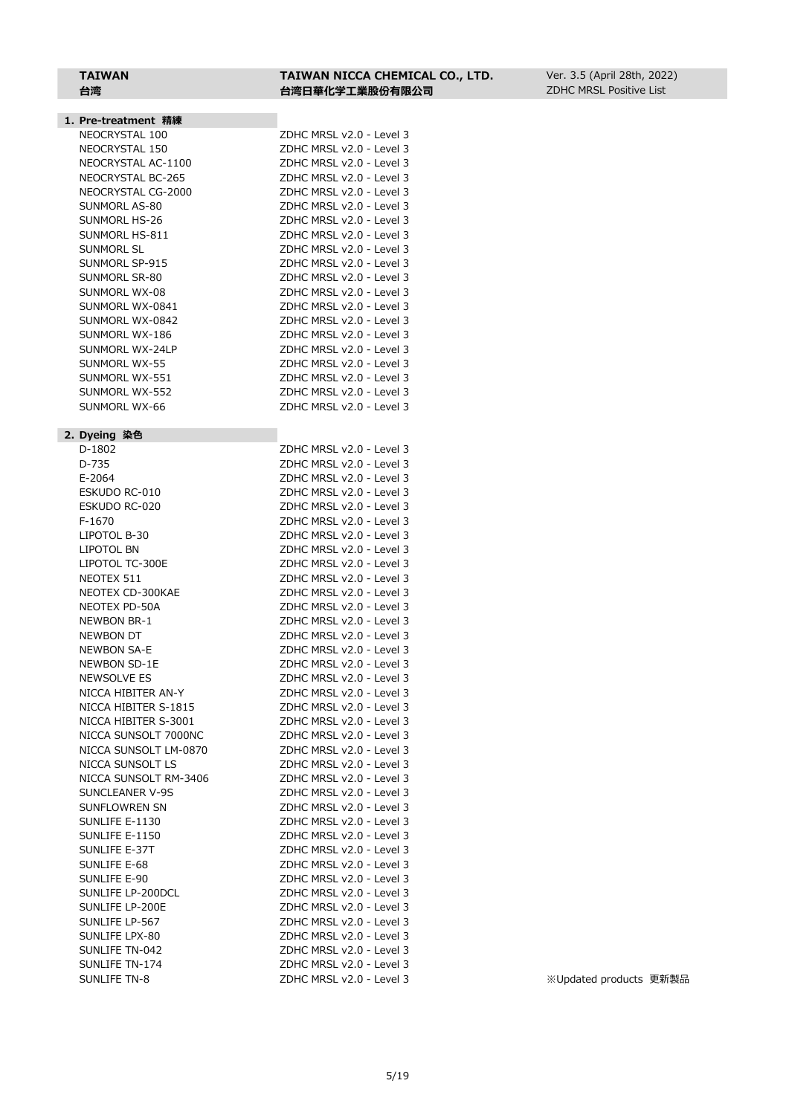# **TAIWAN TAIWAN NICCA CHEMICAL CO., LTD.**

|  | 1. Pre-treatment 精練 |  |
|--|---------------------|--|
|--|---------------------|--|

| NEOCRYSTAL 100     |
|--------------------|
| NEOCRYSTAL 150     |
| NEOCRYSTAL AC-1100 |
| NEOCRYSTAL BC-265  |
| NEOCRYSTAL CG-2000 |
| SUNMORL AS-80      |
| SUNMORI HS-26      |
| SUNMORI HS-811     |
| SUNMORI SI         |
| SUNMORL SP-915     |
| SUNMORI SR-80      |
| SUNMORI WX-08      |
| SUNMORL WX-0841    |
| SUNMORI WX-0842    |
| SUNMORL WX-186     |
| Sunmori WX-241 p   |
| SUNMORI WX-55      |
| SUNMORL WX-551     |
| SUNMORI WX-552     |
| SUNMORI WX-66      |

#### **2. Dyeing 染色**

 $D-1802$ D-735 E-2064 ESKUDO RC-010 ESKUDO RC-020  $F-1670$ LIPOTOL B-30 LIPOTOL BN LIPOTOL TC-300E NEOTEX 511 NEOTEX CD-300KAE NEOTEX PD-50A NEWBON BR-1 NEWBON DT NEWBON SA-E NEWBON SD-1E NEWSOLVE ES NICCA HIBITER AN-Y NICCA HIBITER S-1815 NICCA HIBITER S-3001 NICCA SUNSOLT 7000NC NICCA SUNSOLT LM-0870 NICCA SUNSOLT LS NICCA SUNSOLT RM-3406 SUNCLEANER V-9S SUNFLOWREN SN SUNLIFE E-1130 SUNLIFE E-1150 SUNLIFE E-37T SUNLIFE E-68 SUNLIFE E-90 SUNLIFE LP-200DCL SUNLIFE LP-200E SUNLIFE LP-567 SUNLIFE LPX-80 SUNLIFE TN-042 SUNLIFE TN-174 SUNLIFE TN-8 <br>  $Z$ DHC MRSL v2.0 - Level 3 <br>  $\ddot{x}$  Updated products 更新製品

| 台湾                 | 台湾日華化学工業股份有限公司           |
|--------------------|--------------------------|
|                    |                          |
| Pre-treatment 精練   |                          |
| NEOCRYSTAL 100     | ZDHC MRSL v2.0 - Level 3 |
| NEOCRYSTAL 150     | ZDHC MRSL v2.0 - Level 3 |
| NEOCRYSTAL AC-1100 | ZDHC MRSL v2.0 - Level 3 |
| NEOCRYSTAL BC-265  | ZDHC MRSL v2.0 - Level 3 |
| NEOCRYSTAL CG-2000 | ZDHC MRSL v2.0 - Level 3 |
| SUNMORL AS-80      | ZDHC MRSL v2.0 - Level 3 |
| SUNMORL HS-26      | ZDHC MRSL v2.0 - Level 3 |
| SUNMORL HS-811     | ZDHC MRSL v2.0 - Level 3 |
| SUNMORL SL         | ZDHC MRSL v2.0 - Level 3 |
| SUNMORL SP-915     | ZDHC MRSL v2.0 - Level 3 |
| SUNMORL SR-80      | ZDHC MRSL v2.0 - Level 3 |
| SUNMORL WX-08      | ZDHC MRSL v2.0 - Level 3 |
| SUNMORL WX-0841    | ZDHC MRSL v2.0 - Level 3 |
| SUNMORL WX-0842    | ZDHC MRSL v2.0 - Level 3 |
| SUNMORL WX-186     | ZDHC MRSL v2.0 - Level 3 |
| SUNMORI WX-24I P   | ZDHC MRSL v2.0 - Level 3 |
| SUNMORL WX-55      | ZDHC MRSL v2.0 - Level 3 |
| SUNMORL WX-551     | ZDHC MRSL v2.0 - Level 3 |
| SUNMORL WX-552     | ZDHC MRSL v2.0 - Level 3 |
| SUNMORL WX-66      | ZDHC MRSL v2.0 - Level 3 |
| Dyeing 染色          |                          |
| D-1802             | ZDHC MRSL v2.0 - Level 3 |
| D-735              | ZDHC MRSL v2.0 - Level 3 |
| E-2064             | ZDHC MRSL v2.0 - Level 3 |
| ESKUDO RC-010      | ZDHC MRSL v2.0 - Level 3 |
| ESKUDO RC-020      | ZDHC MRSL v2.0 - Level 3 |
| F-1670             | ZDHC MRSL v2.0 - Level 3 |

| ⊷יו ש<br>----- | v ∠.∪<br><b>LUVUI</b>       |
|----------------|-----------------------------|
|                | ZDHC MRSL v2.0 - Level 3    |
|                | ZDHC MRSL v2.0 - Level 3    |
|                | ZDHC MRSL v2.0 - Level 3    |
|                | ZDHC MRSL v2.0 - Level 3    |
|                | ZDHC MRSL v2.0 - Level 3    |
|                | ZDHC MRSL v2.0 - Level 3    |
|                | ZDHC MRSL v2.0 - Level 3    |
|                | ZDHC MRSL v2.0 - Level 3    |
|                | ZDHC MRSL v2.0 - Level 3    |
|                | ZDHC MRSL v2.0 - Level<br>3 |
|                | ZDHC MRSL v2.0 - Level 3    |
|                | ZDHC MRSL v2.0 - Level 3    |
|                | ZDHC MRSL v2.0 - Level 3    |
|                | ZDHC MRSL v2.0 - Level 3    |
|                | ZDHC MRSL v2.0 - Level 3    |
|                | ZDHC MRSL v2.0 - Level 3    |
|                | ZDHC MRSL v2.0 - Level 3    |
|                | ZDHC MRSL v2.0 - Level 3    |
|                | ZDHC MRSL v2.0 - Level 3    |
|                | ZDHC MRSL v2.0 - Level 3    |
|                | ZDHC MRSL v2.0 - Level 3    |
|                | ZDHC MRSL v2.0 - Level 3    |
|                | ZDHC MRSL v2.0 - Level 3    |
|                | ZDHC MRSL v2.0 - Level 3    |
|                | ZDHC MRSL v2.0 - Level 3    |
|                | ZDHC MRSL v2.0 - Level 3    |
|                | ZDHC MRSL v2.0 - Level 3    |
|                | ZDHC MRSL v2.0 - Level 3    |
|                | ZDHC MRSL v2.0 - Level 3    |
|                | ZDHC MRSL v2.0 - Level 3    |
|                | ZDHC MRSL v2.0 - Level 3    |
|                | ZDHC MRSL v2.0 - Level 3    |
|                | ZDHC MRSL v2.0 - Level 3    |
|                | ZDHC MRSL v2.0 - Level 3    |
|                | ZDHC MRSL v2.0 - Level<br>3 |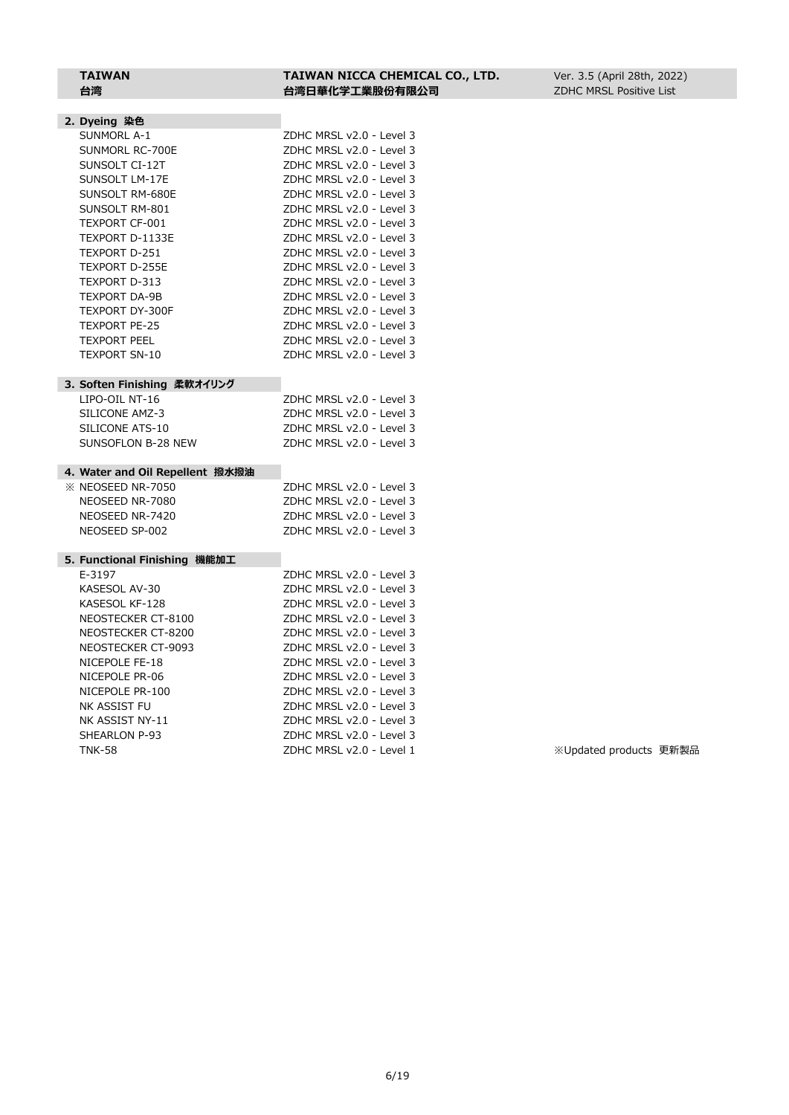# **TAIWAN TAIWAN NICCA CHEMICAL CO., LTD.**

| ۰.<br>щ |    |  |
|---------|----|--|
|         |    |  |
| - - - - | Æ. |  |

| TAIWAN | TAIWAN NICCA CHEMICAL CO., LTD. |
|--------|---------------------------------|
| 台湾     | 台湾日華化学工業股份有限公司                  |

| 2. Dyeing 染色                    |                          |
|---------------------------------|--------------------------|
| <b>SUNMORL A-1</b>              | ZDHC MRSL v2.0 - Level 3 |
| SUNMORL RC-700E                 | ZDHC MRSL v2.0 - Level 3 |
| SUNSOLT CI-12T                  | ZDHC MRSL v2.0 - Level 3 |
| SUNSOLT LM-17E                  | ZDHC MRSL v2.0 - Level 3 |
| SUNSOLT RM-680E                 | ZDHC MRSL v2.0 - Level 3 |
| SUNSOLT RM-801                  | ZDHC MRSL v2.0 - Level 3 |
| <b>TEXPORT CF-001</b>           | ZDHC MRSL v2.0 - Level 3 |
| TEXPORT D-1133E                 | ZDHC MRSL v2.0 - Level 3 |
| TEXPORT D-251                   | ZDHC MRSL v2.0 - Level 3 |
| <b>TEXPORT D-255E</b>           | ZDHC MRSL v2.0 - Level 3 |
| TEXPORT D-313                   | ZDHC MRSL v2.0 - Level 3 |
| <b>TEXPORT DA-9B</b>            | ZDHC MRSL v2.0 - Level 3 |
| TEXPORT DY-300F                 | ZDHC MRSL v2.0 - Level 3 |
| <b>TEXPORT PE-25</b>            | ZDHC MRSL v2.0 - Level 3 |
| <b>TEXPORT PEEL</b>             | ZDHC MRSL v2.0 - Level 3 |
| <b>TEXPORT SN-10</b>            | ZDHC MRSL v2.0 - Level 3 |
|                                 |                          |
| 3. Soften Finishing 柔軟オイリング     |                          |
| LIPO-OIL NT-16                  | ZDHC MRSL v2.0 - Level 3 |
| SILICONE AMZ-3                  | ZDHC MRSL v2.0 - Level 3 |
| SILICONE ATS-10                 | ZDHC MRSL v2.0 - Level 3 |
| SUNSOFLON B-28 NEW              | ZDHC MRSL v2.0 - Level 3 |
|                                 |                          |
| 4. Water and Oil Repellent 撥水撥油 |                          |
| <b>EX NEOSEED NR-7050</b>       | ZDHC MRSL v2.0 - Level 3 |
| NEOSEED NR-7080                 | ZDHC MRSL v2.0 - Level 3 |
| NEOSEED NR-7420                 | ZDHC MRSL v2.0 - Level 3 |
| NEOSEED SP-002                  | ZDHC MRSL v2.0 - Level 3 |
|                                 |                          |
| 5. Functional Finishing 機能加工    |                          |
| E-3197                          | ZDHC MRSL v2.0 - Level 3 |
| KASESOL AV-30                   | ZDHC MRSL v2.0 - Level 3 |
| KASESOL KF-128                  | ZDHC MRSL v2.0 - Level 3 |
| NEOSTECKER CT-8100              | ZDHC MRSL v2.0 - Level 3 |
| NEOSTECKER CT-8200              | ZDHC MRSL v2.0 - Level 3 |
| NEOSTECKER CT-9093              | ZDHC MRSL v2.0 - Level 3 |
| NICEPOLE FE-18                  | ZDHC MRSL v2.0 - Level 3 |
| NICEPOLE PR-06                  | ZDHC MRSL v2.0 - Level 3 |
| NICEPOLE PR-100                 | ZDHC MRSL v2.0 - Level 3 |
| NK ASSIST FU                    | ZDHC MRSL v2.0 - Level 3 |
| NK ASSIST NY-11                 | ZDHC MRSL v2.0 - Level 3 |

SHEARLON P-93<br>
TNK-58 ZDHC MRSL v2.0 - Level 1

※Updated products 更新製品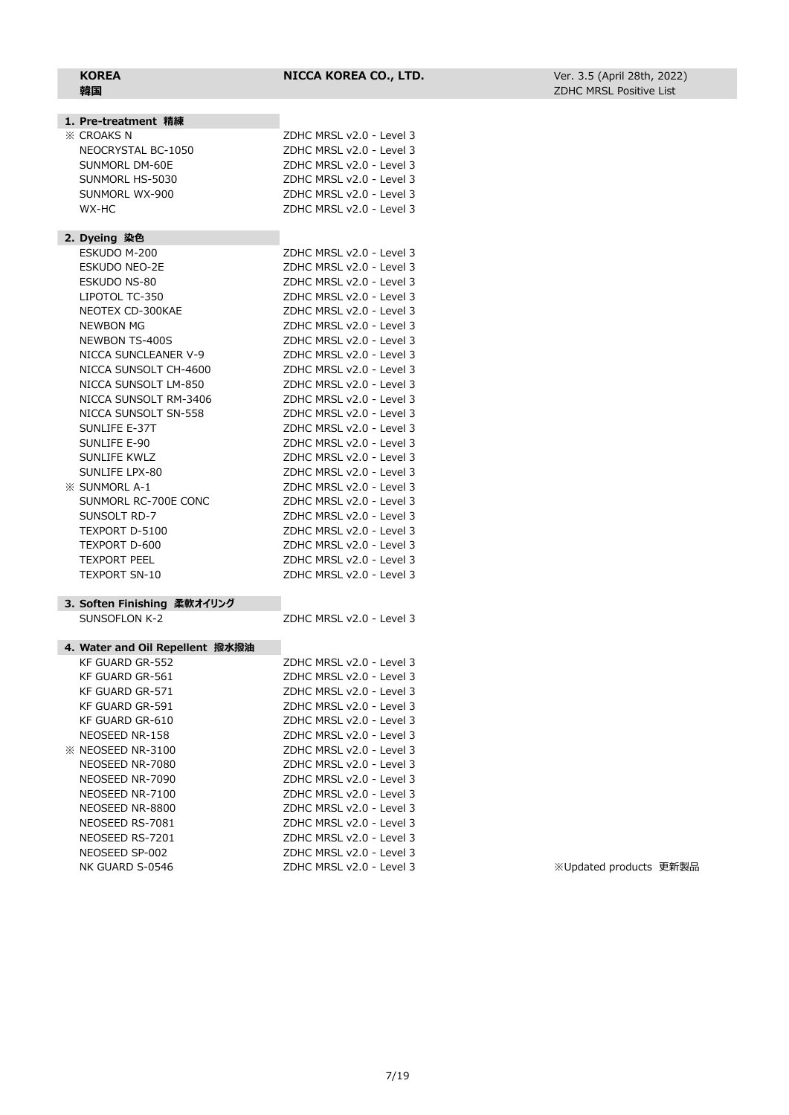| 1. Pre-treatment 精練             |                          |
|---------------------------------|--------------------------|
| <b>※ CROAKS N</b>               | ZDHC MRSL v2.0 - Level 3 |
| NEOCRYSTAL BC-1050              | ZDHC MRSL v2.0 - Level 3 |
| SUNMORL DM-60E                  | ZDHC MRSL v2.0 - Level 3 |
| SUNMORL HS-5030                 | ZDHC MRSL v2.0 - Level 3 |
| SUNMORL WX-900                  | ZDHC MRSL v2.0 - Level 3 |
| WX-HC                           | ZDHC MRSL v2.0 - Level 3 |
|                                 |                          |
| 2. Dyeing 染色                    |                          |
| ESKUDO M-200                    | ZDHC MRSL v2.0 - Level 3 |
| <b>ESKUDO NEO-2E</b>            | ZDHC MRSL v2.0 - Level 3 |
| <b>ESKUDO NS-80</b>             | ZDHC MRSL v2.0 - Level 3 |
| LIPOTOL TC-350                  | ZDHC MRSL v2.0 - Level 3 |
| NEOTEX CD-300KAE                | ZDHC MRSL v2.0 - Level 3 |
| <b>NEWBON MG</b>                | ZDHC MRSL v2.0 - Level 3 |
| NEWBON TS-400S                  | ZDHC MRSL v2.0 - Level 3 |
| NICCA SUNCLEANER V-9            | ZDHC MRSL v2.0 - Level 3 |
| NICCA SUNSOLT CH-4600           | ZDHC MRSL v2.0 - Level 3 |
| NICCA SUNSOLT LM-850            | ZDHC MRSL v2.0 - Level 3 |
| NICCA SUNSOLT RM-3406           | ZDHC MRSL v2.0 - Level 3 |
| NICCA SUNSOLT SN-558            | ZDHC MRSL v2.0 - Level 3 |
| SUNLIFE E-37T                   | ZDHC MRSL v2.0 - Level 3 |
| SUNLIFE E-90                    | ZDHC MRSL v2.0 - Level 3 |
| <b>SUNLIFE KWLZ</b>             | ZDHC MRSL v2.0 - Level 3 |
|                                 |                          |
| SUNLIFE LPX-80                  | ZDHC MRSL v2.0 - Level 3 |
| <b>XX SUNMORL A-1</b>           | ZDHC MRSL v2.0 - Level 3 |
| SUNMORL RC-700E CONC            | ZDHC MRSL v2.0 - Level 3 |
| SUNSOLT RD-7                    | ZDHC MRSL v2.0 - Level 3 |
| TEXPORT D-5100                  | ZDHC MRSL v2.0 - Level 3 |
| TEXPORT D-600                   | ZDHC MRSL v2.0 - Level 3 |
| <b>TEXPORT PEEL</b>             | ZDHC MRSL v2.0 - Level 3 |
| <b>TEXPORT SN-10</b>            | ZDHC MRSL v2.0 - Level 3 |
| 3. Soften Finishing 柔軟オイリング     |                          |
| SUNSOFLON K-2                   | ZDHC MRSL v2.0 - Level 3 |
|                                 |                          |
| 4. Water and Oil Repellent 撥水撥油 |                          |
| KF GUARD GR-552                 | ZDHC MRSL v2.0 - Level 3 |
| KF GUARD GR-561                 | ZDHC MRSL v2.0 - Level 3 |
| <b>KF GUARD GR-571</b>          | ZDHC MRSL v2.0 - Level 3 |
| KF GUARD GR-591                 | ZDHC MRSL v2.0 - Level 3 |
| KF GUARD GR-610                 | ZDHC MRSL v2.0 - Level 3 |
| NEOSEED NR-158                  | ZDHC MRSL v2.0 - Level 3 |
| <b>EX NEOSEED NR-3100</b>       | ZDHC MRSL v2.0 - Level 3 |
| NEOSEED NR-7080                 | ZDHC MRSL v2.0 - Level 3 |
| NEOSEED NR-7090                 | ZDHC MRSL v2.0 - Level 3 |
| NEOSEED NR-7100                 | ZDHC MRSL v2.0 - Level 3 |
| NEOSEED NR-8800                 | ZDHC MRSL v2.0 - Level 3 |
| NEOSEED RS-7081                 | ZDHC MRSL v2.0 - Level 3 |
| NEOSEED RS-7201                 | ZDHC MRSL v2.0 - Level 3 |
| NEOSEED SP-002                  | ZDHC MRSL v2.0 - Level 3 |

NK GUARD S-0546 ZDHC MRSL v2.0 - Level 3 ※Updated products 更新製品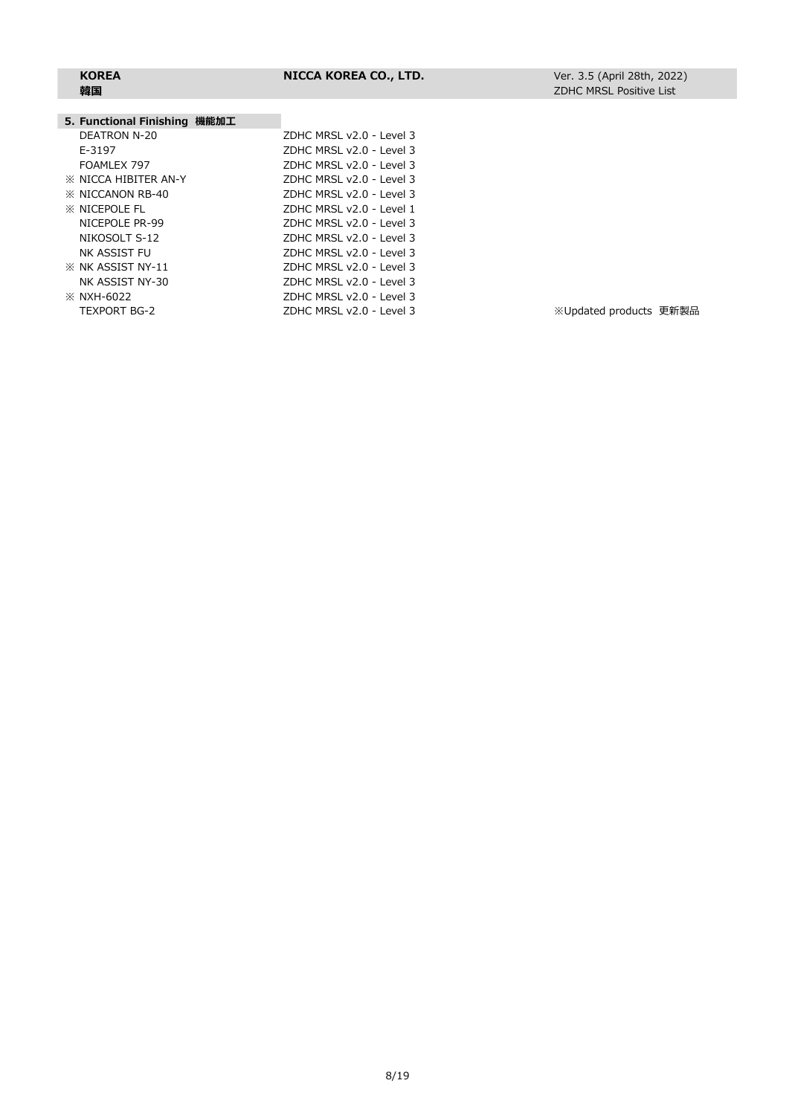Level 3 Level 3 Level 3 Level 3 Level 3 Level 1 Level 3 Level 3 Level 3 Level 3 Level 3 Level 3

# **韓国**

#### **5. Functional Finishing 機能加工**

| <b>3. I GIRCLIOIRE I BILOIRE ANNOUN-L</b> |                  |
|-------------------------------------------|------------------|
| <b>DEATRON N-20</b>                       | ZDHC MRSL v2.0 - |
| E-3197                                    | ZDHC MRSL v2.0 - |
| FOAMLEX 797                               | ZDHC MRSL v2.0 - |
| <b><i>X</i></b> NICCA HIBITER AN-Y        | ZDHC MRSL v2.0 - |
| <b>EX NICCANON RB-40</b>                  | ZDHC MRSL v2.0 - |
| <b>XX NICEPOLE FL</b>                     | ZDHC MRSL v2.0 - |
| NICEPOLE PR-99                            | ZDHC MRSL v2.0 - |
| NIKOSOLT S-12                             | ZDHC MRSL v2.0 - |
| NK ASSIST FU                              | ZDHC MRSL v2.0 - |
| <b>X NK ASSIST NY-11</b>                  | ZDHC MRSL v2.0 - |
| NK ASSIST NY-30                           | ZDHC MRSL v2.0 - |
| <b>※ NXH-6022</b>                         | ZDHC MRSL v2.0 - |
| <b>TEXPORT BG-2</b>                       | ZDHC MRSL v2.0 - |
|                                           |                  |

Level 3 and the mate of the Magnetic Mated products 更新製品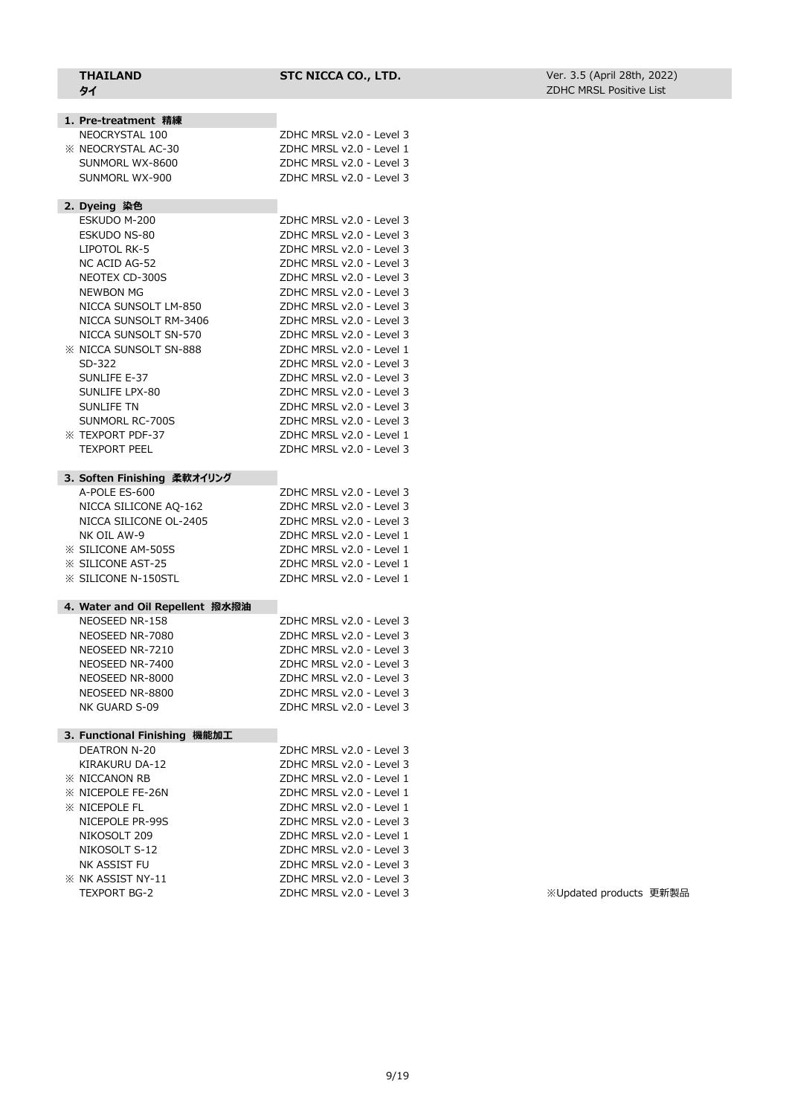| <b>THAILAND</b><br>タイ                         | STC NICCA CO., LTD.                                  | Ver. 3.5 (April 28th, 2022)<br><b>ZDHC MRSL Positive List</b> |  |
|-----------------------------------------------|------------------------------------------------------|---------------------------------------------------------------|--|
|                                               |                                                      |                                                               |  |
| 1. Pre-treatment 精練                           |                                                      |                                                               |  |
| NEOCRYSTAL 100                                | ZDHC MRSL v2.0 - Level 3                             |                                                               |  |
| <b>EX NEOCRYSTAL AC-30</b><br>SUNMORL WX-8600 | ZDHC MRSL v2.0 - Level 1<br>ZDHC MRSL v2.0 - Level 3 |                                                               |  |
|                                               | ZDHC MRSL v2.0 - Level 3                             |                                                               |  |
| SUNMORL WX-900                                |                                                      |                                                               |  |
| 2. Dyeing 染色                                  |                                                      |                                                               |  |
| ESKUDO M-200                                  | ZDHC MRSL v2.0 - Level 3                             |                                                               |  |
| ESKUDO NS-80                                  | ZDHC MRSL v2.0 - Level 3                             |                                                               |  |
| LIPOTOL RK-5                                  | ZDHC MRSL v2.0 - Level 3                             |                                                               |  |
| NC ACID AG-52                                 | ZDHC MRSL v2.0 - Level 3                             |                                                               |  |
| NEOTEX CD-300S                                | ZDHC MRSL v2.0 - Level 3                             |                                                               |  |
| NEWBON MG                                     | ZDHC MRSL v2.0 - Level 3                             |                                                               |  |
| NICCA SUNSOLT LM-850                          | ZDHC MRSL v2.0 - Level 3                             |                                                               |  |
| NICCA SUNSOLT RM-3406                         | ZDHC MRSL v2.0 - Level 3                             |                                                               |  |
| NICCA SUNSOLT SN-570                          | ZDHC MRSL v2.0 - Level 3                             |                                                               |  |
| <b>XX NICCA SUNSOLT SN-888</b>                | ZDHC MRSL v2.0 - Level 1                             |                                                               |  |
| SD-322                                        | ZDHC MRSL v2.0 - Level 3                             |                                                               |  |
| SUNLIFE E-37                                  | ZDHC MRSL v2.0 - Level 3                             |                                                               |  |
| SUNLIFE LPX-80                                | ZDHC MRSL v2.0 - Level 3                             |                                                               |  |
| <b>SUNLIFE TN</b>                             | ZDHC MRSL v2.0 - Level 3                             |                                                               |  |
| SUNMORL RC-700S                               | ZDHC MRSL v2.0 - Level 3                             |                                                               |  |
| <b>XX TEXPORT PDF-37</b>                      | ZDHC MRSL v2.0 - Level 1                             |                                                               |  |
| <b>TEXPORT PEEL</b>                           | ZDHC MRSL v2.0 - Level 3                             |                                                               |  |
| 3. Soften Finishing 柔軟オイリング                   |                                                      |                                                               |  |
| A-POLE ES-600                                 | ZDHC MRSL v2.0 - Level 3                             |                                                               |  |
| NICCA SILICONE AQ-162                         | ZDHC MRSL v2.0 - Level 3                             |                                                               |  |
| NICCA SILICONE OL-2405                        | ZDHC MRSL v2.0 - Level 3                             |                                                               |  |
| NK OIL AW-9                                   | ZDHC MRSL v2.0 - Level 1                             |                                                               |  |
| <b>EXAMPLE SILICONE AM-505S</b>               | ZDHC MRSL v2.0 - Level 1                             |                                                               |  |
| <b>XX SILICONE AST-25</b>                     | ZDHC MRSL v2.0 - Level 1                             |                                                               |  |
| <b>※ SILICONE N-150STL</b>                    | ZDHC MRSL v2.0 - Level 1                             |                                                               |  |
| 4. Water and Oil Repellent 撥水撥油               |                                                      |                                                               |  |
| NEOSEED NR-158                                | ZDHC MRSL v2.0 - Level 3                             |                                                               |  |
| NEOSEED NR-7080                               | ZDHC MRSL v2.0 - Level 3                             |                                                               |  |
| NEOSEED NR-7210                               | ZDHC MRSL v2.0 - Level 3                             |                                                               |  |
| NEOSEED NR-7400                               | ZDHC MRSL v2.0 - Level 3                             |                                                               |  |
| NEOSEED NR-8000                               | ZDHC MRSL v2.0 - Level 3                             |                                                               |  |
| NEOSEED NR-8800                               | ZDHC MRSL v2.0 - Level 3                             |                                                               |  |
| NK GUARD S-09                                 | ZDHC MRSL v2.0 - Level 3                             |                                                               |  |
| 3. Functional Finishing 機能加工                  |                                                      |                                                               |  |
| <b>DEATRON N-20</b>                           | ZDHC MRSL v2.0 - Level 3                             |                                                               |  |
| KIRAKURU DA-12                                | ZDHC MRSL v2.0 - Level 3                             |                                                               |  |
| <b>※ NICCANON RB</b>                          | ZDHC MRSL v2.0 - Level 1                             |                                                               |  |
| <b>※ NICEPOLE FE-26N</b>                      | ZDHC MRSL v2.0 - Level 1                             |                                                               |  |
| <b>※ NICEPOLE FL</b>                          | ZDHC MRSL v2.0 - Level 1                             |                                                               |  |
| NICEPOLE PR-99S                               | ZDHC MRSL v2.0 - Level 3                             |                                                               |  |
| NIKOSOLT 209                                  | ZDHC MRSL v2.0 - Level 1                             |                                                               |  |
| NIKOSOLT S-12                                 | ZDHC MRSL v2.0 - Level 3                             |                                                               |  |
| NK ASSIST FU                                  | ZDHC MRSL v2.0 - Level 3                             |                                                               |  |
| <b>※ NK ASSIST NY-11</b>                      | ZDHC MRSL v2.0 - Level 3                             |                                                               |  |
| TEXPORT BG-2                                  | ZDHC MRSL v2.0 - Level 3                             | ※Updated products 更新製品                                        |  |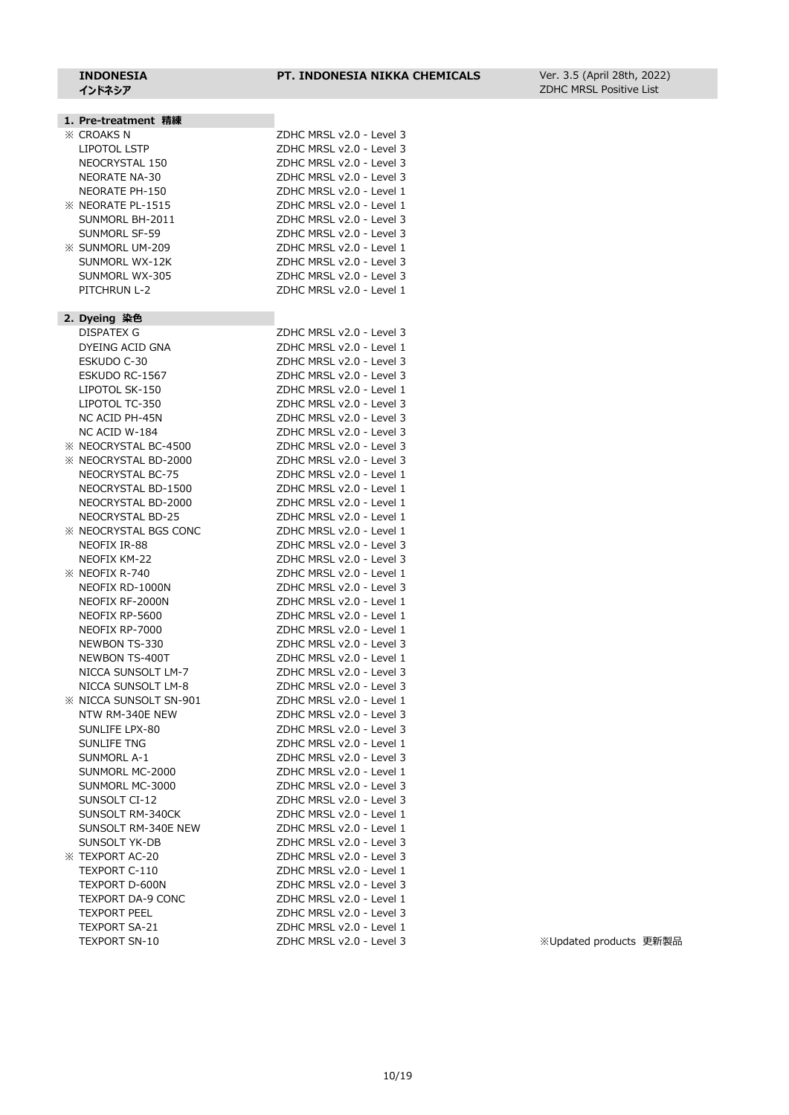Ver. 3.5 (April 28th, 2022) ZDHC MRSL Positive List

| 1. Pre-treatment 精練              |                                                      |
|----------------------------------|------------------------------------------------------|
| <b>XX CROAKS N</b>               | ZDHC MRSL v2.0 - Level 3                             |
| <b>LIPOTOL LSTP</b>              | ZDHC MRSL v2.0 - Level 3                             |
| NEOCRYSTAL 150                   | ZDHC MRSL v2.0 - Level 3                             |
| <b>NEORATE NA-30</b>             | ZDHC MRSL v2.0 - Level 3                             |
| NEORATE PH-150                   | ZDHC MRSL v2.0 - Level 1                             |
| <b>XX NEORATE PL-1515</b>        | ZDHC MRSL v2.0 - Level 1                             |
| SUNMORL BH-2011                  | ZDHC MRSL v2.0 - Level 3                             |
| SUNMORL SF-59                    | ZDHC MRSL v2.0 - Level 3                             |
| <b>※ SUNMORL UM-209</b>          | ZDHC MRSL v2.0 - Level 1                             |
| SUNMORL WX-12K                   | ZDHC MRSL v2.0 - Level 3                             |
| SUNMORL WX-305                   | ZDHC MRSL v2.0 - Level 3                             |
| PITCHRUN L-2                     | ZDHC MRSL v2.0 - Level 1                             |
|                                  |                                                      |
| 2. Dyeing 染色                     |                                                      |
| <b>DISPATEX G</b>                | ZDHC MRSL v2.0 - Level 3                             |
| DYEING ACID GNA                  | ZDHC MRSL v2.0 - Level 1                             |
| ESKUDO C-30                      | ZDHC MRSL v2.0 - Level 3                             |
| ESKUDO RC-1567                   | ZDHC MRSL v2.0 - Level 3                             |
| LIPOTOL SK-150                   | ZDHC MRSL v2.0 - Level 1                             |
| LIPOTOL TC-350                   | ZDHC MRSL v2.0 - Level 3                             |
| NC ACID PH-45N                   | ZDHC MRSL v2.0 - Level 3                             |
| NC ACID W-184                    | ZDHC MRSL v2.0 - Level 3                             |
| <b>※ NEOCRYSTAL BC-4500</b>      | ZDHC MRSL v2.0 - Level 3                             |
| <b>※ NEOCRYSTAL BD-2000</b>      | ZDHC MRSL v2.0 - Level 3                             |
|                                  | ZDHC MRSL v2.0 - Level 1                             |
| NEOCRYSTAL BC-75                 |                                                      |
| NEOCRYSTAL BD-1500               | ZDHC MRSL v2.0 - Level 1                             |
| NEOCRYSTAL BD-2000               | ZDHC MRSL v2.0 - Level 1                             |
| <b>NEOCRYSTAL BD-25</b>          | ZDHC MRSL v2.0 - Level 1                             |
| <b>XX NEOCRYSTAL BGS CONC</b>    | ZDHC MRSL v2.0 - Level 1                             |
| NEOFIX IR-88                     | ZDHC MRSL v2.0 - Level 3                             |
| NEOFIX KM-22                     | ZDHC MRSL v2.0 - Level 3                             |
| $\%$ NEOFIX R-740                | ZDHC MRSL v2.0 - Level 1                             |
| NEOFIX RD-1000N                  | ZDHC MRSL v2.0 - Level 3                             |
| NEOFIX RF-2000N                  | ZDHC MRSL v2.0 - Level 1                             |
| NEOFIX RP-5600                   | ZDHC MRSL v2.0 - Level 1                             |
| NEOFIX RP-7000                   | ZDHC MRSL v2.0 - Level 1                             |
| <b>NEWBON TS-330</b>             | ZDHC MRSL v2.0 - Level 3                             |
| NEWBON TS-400T                   | ZDHC MRSL v2.0 - Level 1                             |
| NICCA SUNSOLT LM-7               | ZDHC MRSL v2.0 - Level 3                             |
| NICCA SUNSOLT LM-8               | ZDHC MRSL v2.0 - Level 3                             |
| <b>※ NICCA SUNSOLT SN-901</b>    | ZDHC MRSL v2.0 - Level 1                             |
| NTW RM-340E NEW                  | ZDHC MRSL v2.0 - Level 3                             |
| SUNLIFE LPX-80                   | ZDHC MRSL v2.0 - Level 3                             |
| <b>SUNLIFE TNG</b>               | ZDHC MRSL v2.0 - Level 1                             |
| <b>SUNMORL A-1</b>               | ZDHC MRSL v2.0 - Level 3                             |
| SUNMORL MC-2000                  | ZDHC MRSL v2.0 - Level 1                             |
|                                  |                                                      |
| SUNMORL MC-3000<br>SUNSOLT CI-12 | ZDHC MRSL v2.0 - Level 3<br>ZDHC MRSL v2.0 - Level 3 |
|                                  |                                                      |
| SUNSOLT RM-340CK                 | ZDHC MRSL v2.0 - Level 1                             |
| SUNSOLT RM-340E NEW              | ZDHC MRSL v2.0 - Level 1                             |
| <b>SUNSOLT YK-DB</b>             | ZDHC MRSL v2.0 - Level 3                             |
| <b>※ TEXPORT AC-20</b>           | ZDHC MRSL v2.0 - Level 3                             |
| TEXPORT C-110                    | ZDHC MRSL v2.0 - Level 1                             |
| TEXPORT D-600N                   | ZDHC MRSL v2.0 - Level 3                             |
| TEXPORT DA-9 CONC                | ZDHC MRSL v2.0 - Level 1                             |
| <b>TEXPORT PEEL</b>              | ZDHC MRSL v2.0 - Level 3                             |
| <b>TEXPORT SA-21</b>             | ZDHC MRSL v2.0 - Level 1                             |

TEXPORT SN-10 <br>
ZDHC MRSL v2.0 - Level 3 ※Updated products 更新製品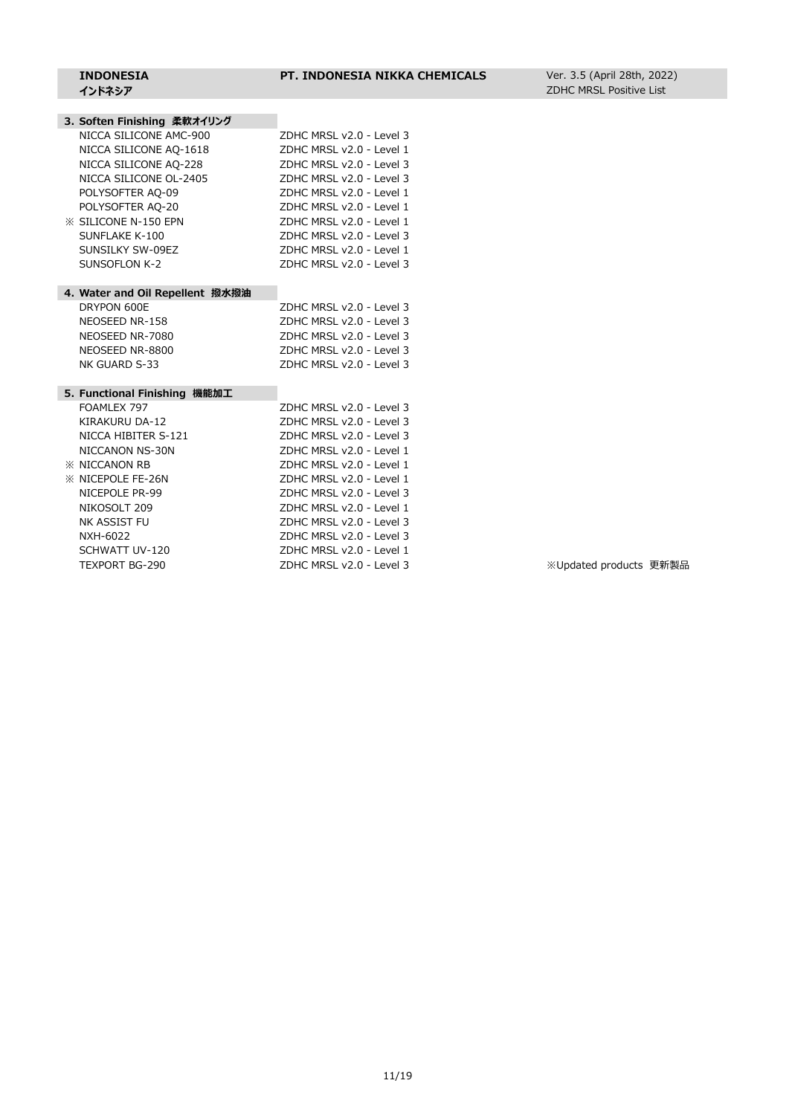#### **3. Soften Finishing 柔軟オイリング**

| NICCA SILICONE AMC-900          | ZDHC MRSL v2.0 - Level 3       |
|---------------------------------|--------------------------------|
| NICCA SILICONE AO-1618          | ZDHC MRSL v2.0 - Level 1       |
| NICCA SILICONE AQ-228           | ZDHC MRSL v2.0 - Level 3       |
| NICCA SILICONE OL-2405          | $7$ DHC MRSL $v$ 2.0 - Level 3 |
| POLYSOFTER AQ-09                | ZDHC MRSL v2.0 - Level 1       |
| POLYSOFTER AQ-20                | ZDHC MRSL v2.0 - Level 1       |
| <b>X SILICONE N-150 EPN</b>     | ZDHC MRSL v2.0 - Level 1       |
| SUNFLAKE K-100                  | ZDHC MRSL v2.0 - Level 3       |
| SUNSILKY SW-09EZ                | ZDHC MRSL v2.0 - Level 1       |
| SUNSOFLON K-2                   | ZDHC MRSL v2.0 - Level 3       |
|                                 |                                |
| 4. Water and Oil Repellent 撥水撥油 |                                |
| DRYPON 600E                     | ZDHC MRSL v2.0 - Level 3       |
| NEOSEED NR-158                  | ZDHC MRSL v2.0 - Level 3       |
| NEOSEED NR-7080                 | ZDHC MRSL v2.0 - Level 3       |
| NEOSEED NR-8800                 | ZDHC MRSL v2.0 - Level 3       |
| NK GUARD S-33                   | ZDHC MRSL v2.0 - Level 3       |

#### **5. Functional Finishing 機能加工**

| FOAMLEX 797               | ZDHC MRSL v2.0 - Level 3 |
|---------------------------|--------------------------|
| KIRAKURU DA-12            | ZDHC MRSL v2.0 - Level 3 |
| NICCA HIBITER S-121       | ZDHC MRSL v2.0 - Level 3 |
| NICCANON NS-30N           | ZDHC MRSL v2.0 - Level 1 |
| <b>EX NICCANON RB</b>     | ZDHC MRSL v2.0 - Level 1 |
| <b>XX NICEPOLE FE-26N</b> | ZDHC MRSL v2.0 - Level 1 |
| NICEPOLE PR-99            | ZDHC MRSL v2.0 - Level 3 |
| NIKOSOLT 209              | ZDHC MRSL v2.0 - Level 1 |
| NK ASSIST FU              | ZDHC MRSL v2.0 - Level 3 |
| NXH-6022                  | ZDHC MRSL v2.0 - Level 3 |
| SCHWATT UV-120            | ZDHC MRSL v2.0 - Level 1 |
| TEXPORT BG-290            | ZDHC MRSL v2.0 - Level 3 |
|                           |                          |

※Updated products 更新製品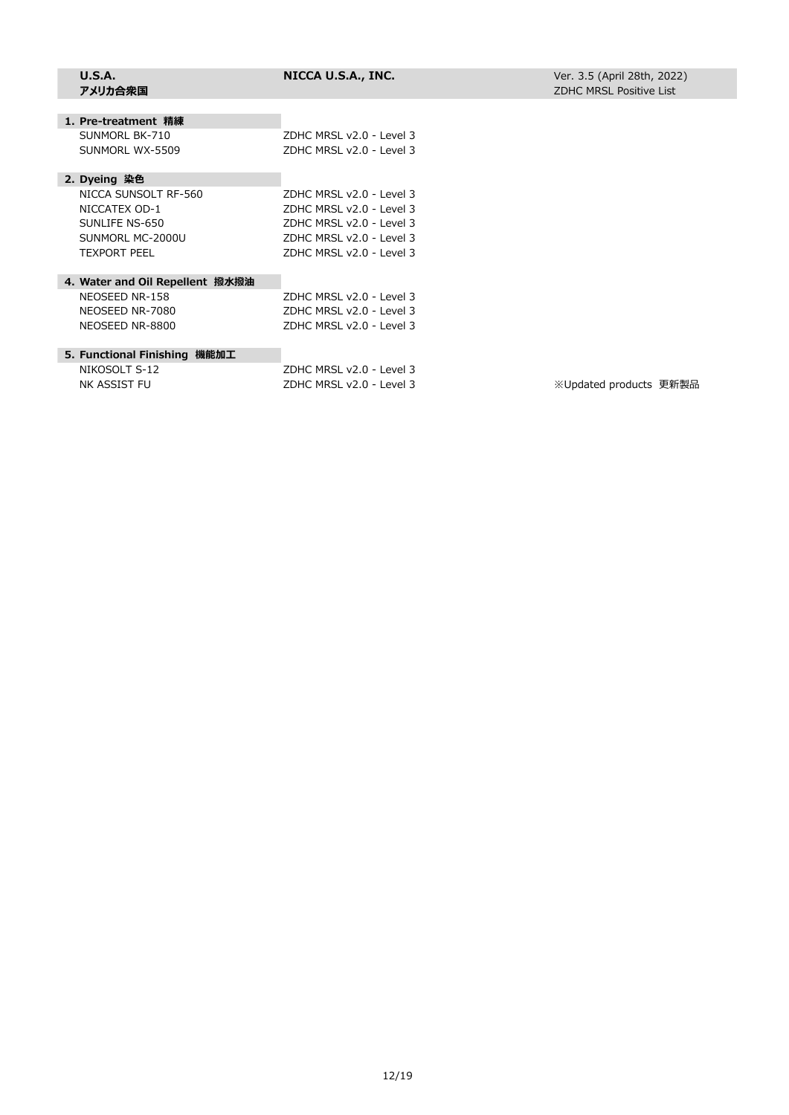| U.S.A.<br>アメリカ合衆国               | NICCA U.S.A., INC.                | Ver. 3.5 (April 28th, 2022)<br><b>ZDHC MRSL Positive List</b> |  |
|---------------------------------|-----------------------------------|---------------------------------------------------------------|--|
|                                 |                                   |                                                               |  |
| 1. Pre-treatment 精練             |                                   |                                                               |  |
| SUNMORL BK-710                  | ZDHC MRSL v2.0 - Level 3          |                                                               |  |
| SUNMORL WX-5509                 | $7$ DHC MRSL $v$ $2.0 - 1$ evel 3 |                                                               |  |
| 2. Dyeing 染色                    |                                   |                                                               |  |
| NICCA SUNSOLT RF-560            | ZDHC MRSL v2.0 - Level 3          |                                                               |  |
| NICCATEX OD-1                   | ZDHC MRSL v2.0 - Level 3          |                                                               |  |
| SUNLIFE NS-650                  | ZDHC MRSL v2.0 - Level 3          |                                                               |  |
| SUNMORL MC-2000U                | ZDHC MRSL v2.0 - Level 3          |                                                               |  |
| <b>TEXPORT PEEL</b>             | ZDHC MRSL v2.0 - Level 3          |                                                               |  |
| 4. Water and Oil Repellent 撥水撥油 |                                   |                                                               |  |
| NEOSEED NR-158                  | ZDHC MRSL v2.0 - Level 3          |                                                               |  |
| NEOSEED NR-7080                 | $7$ DHC MRSL $v$ $2.0 - 1$ evel 3 |                                                               |  |
| NEOSEED NR-8800                 | ZDHC MRSL v2.0 - Level 3          |                                                               |  |
| 5. Functional Finishing 機能加工    |                                   |                                                               |  |
| NIKOSOLT S-12                   | $7$ DHC MRSL $v$ $2.0 - 1$ evel 3 |                                                               |  |
| NK ASSIST FU                    | ZDHC MRSL v2.0 - Level 3          | ※Updated products 更新製品                                        |  |
|                                 |                                   |                                                               |  |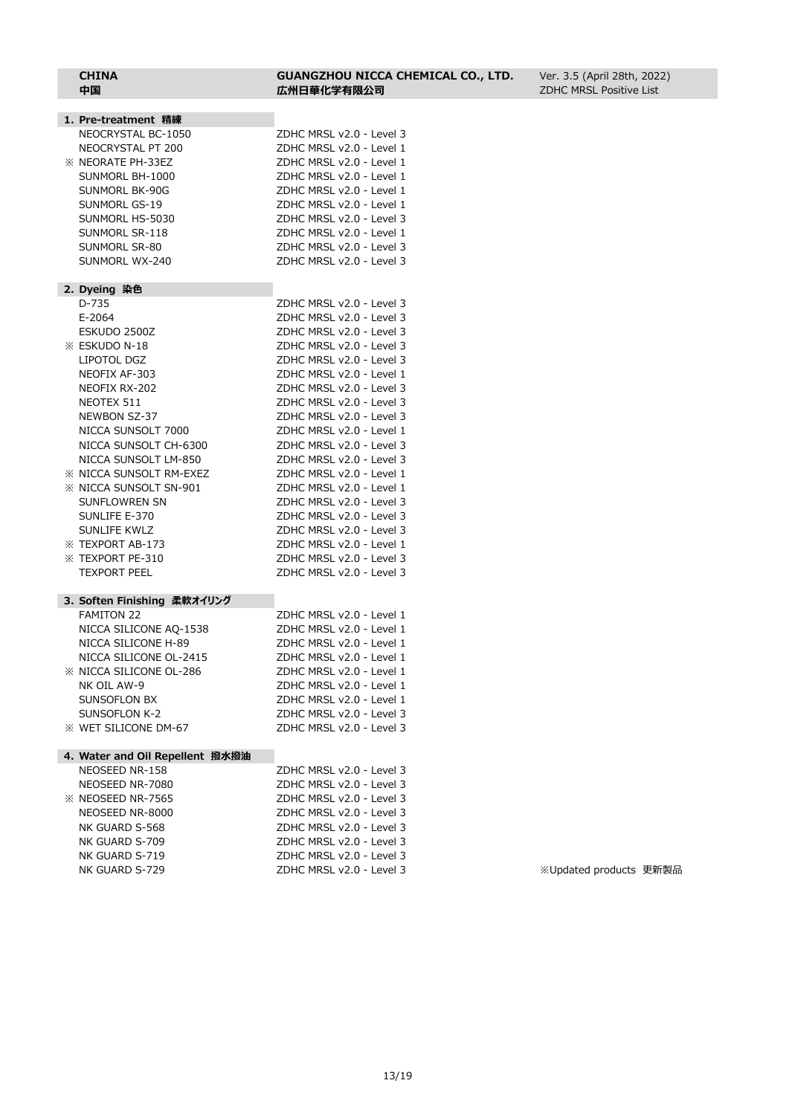| 1. Pre-treatment 精練             |                          |
|---------------------------------|--------------------------|
| NEOCRYSTAL BC-1050              | ZDHC MRSL v2.0 - Level 3 |
| NEOCRYSTAL PT 200               | ZDHC MRSL v2.0 - Level 1 |
| <b>※ NEORATE PH-33EZ</b>        | ZDHC MRSL v2.0 - Level 1 |
| SUNMORL BH-1000                 | ZDHC MRSL v2.0 - Level 1 |
| SUNMORL BK-90G                  | ZDHC MRSL v2.0 - Level 1 |
| SUNMORL GS-19                   | ZDHC MRSL v2.0 - Level 1 |
|                                 |                          |
| SUNMORL HS-5030                 | ZDHC MRSL v2.0 - Level 3 |
| SUNMORL SR-118                  | ZDHC MRSL v2.0 - Level 1 |
| SUNMORL SR-80                   | ZDHC MRSL v2.0 - Level 3 |
| SUNMORL WX-240                  | ZDHC MRSL v2.0 - Level 3 |
| 2. Dyeing 染色                    |                          |
| D-735                           | ZDHC MRSL v2.0 - Level 3 |
| E-2064                          | ZDHC MRSL v2.0 - Level 3 |
| ESKUDO 2500Z                    | ZDHC MRSL v2.0 - Level 3 |
| <b>※ ESKUDO N-18</b>            | ZDHC MRSL v2.0 - Level 3 |
| LIPOTOL DGZ                     | ZDHC MRSL v2.0 - Level 3 |
| NEOFIX AF-303                   | ZDHC MRSL v2.0 - Level 1 |
| NEOFIX RX-202                   | ZDHC MRSL v2.0 - Level 3 |
| NEOTEX 511                      | ZDHC MRSL v2.0 - Level 3 |
| NEWBON SZ-37                    | ZDHC MRSL v2.0 - Level 3 |
| NICCA SUNSOLT 7000              | ZDHC MRSL v2.0 - Level 1 |
| NICCA SUNSOLT CH-6300           | ZDHC MRSL v2.0 - Level 3 |
| NICCA SUNSOLT LM-850            | ZDHC MRSL v2.0 - Level 3 |
| <b>XX NICCA SUNSOLT RM-EXEZ</b> | ZDHC MRSL v2.0 - Level 1 |
| <b>XX NICCA SUNSOLT SN-901</b>  | ZDHC MRSL v2.0 - Level 1 |
| SUNFLOWREN SN                   | ZDHC MRSL v2.0 - Level 3 |
| SUNLIFE E-370                   | ZDHC MRSL v2.0 - Level 3 |
| <b>SUNLIFE KWLZ</b>             | ZDHC MRSL v2.0 - Level 3 |
| <b>※ TEXPORT AB-173</b>         | ZDHC MRSL v2.0 - Level 1 |
| <b>EXPORT PE-310</b>            | ZDHC MRSL v2.0 - Level 3 |
| <b>TEXPORT PEEL</b>             | ZDHC MRSL v2.0 - Level 3 |
| 3. Soften Finishing 柔軟オイリング     |                          |
| <b>FAMITON 22</b>               | ZDHC MRSL v2.0 - Level 1 |
| NICCA SILICONE AQ-1538          | ZDHC MRSL v2.0 - Level 1 |
| NICCA SILICONE H-89             | ZDHC MRSL v2.0 - Level 1 |
| NICCA SILICONE OL-2415          | ZDHC MRSL v2.0 - Level 1 |
| <b>※ NICCA SILICONE OL-286</b>  | ZDHC MRSL v2.0 - Level 1 |
| NK OIL AW-9                     | ZDHC MRSL v2.0 - Level 1 |
| SUNSOFLON BX                    | ZDHC MRSL v2.0 - Level 1 |
| SUNSOFLON K-2                   | ZDHC MRSL v2.0 - Level 3 |
| <b>※ WET SILICONE DM-67</b>     | ZDHC MRSL v2.0 - Level 3 |
|                                 |                          |
| 4. Water and Oil Repellent 撥水撥油 |                          |
| NEOSEED NR-158                  | ZDHC MRSL v2.0 - Level 3 |
| NEOSEED NR-7080                 | ZDHC MRSL v2.0 - Level 3 |
| <b>※ NEOSEED NR-7565</b>        | ZDHC MRSL v2.0 - Level 3 |
| NEOSEED NR-8000                 | ZDHC MRSL v2.0 - Level 3 |
| NK GUARD S-568                  | ZDHC MRSL v2.0 - Level 3 |

NK GUARD S-709 ZDHC MRSL v2.0 - Level 3 NK GUARD S-719 ZDHC MRSL v2.0 - Level 3

#### **CHINA GUANGZHOU NICCA CHEMICAL CO., LTD. 中国 広州日華化学有限公司**

Ver. 3.5 (April 28th, 2022) ZDHC MRSL Positive List

NK GUARD S-729 2DHC MRSL v2.0 - Level 3 XUpdated products 更新製品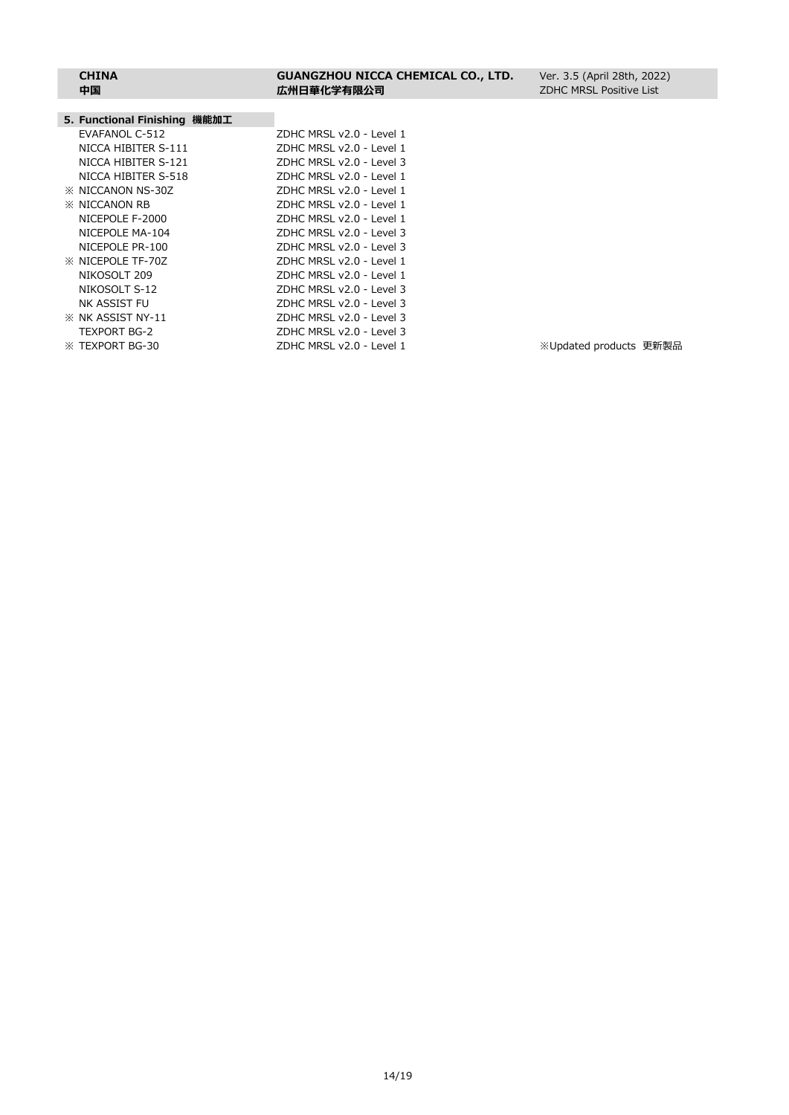#### **CHINA GUANGZHOU NICCA CHEMICAL CO., LTD. 中国 広州日華化学有限公司**

Ver. 3.5 (April 28th, 2022) ZDHC MRSL Positive List

| 5. Functional Finishing 機能加工 |                                   |                        |  |
|------------------------------|-----------------------------------|------------------------|--|
| EVAFANOL C-512               | $7$ DHC MRSL $v$ $2.0 - 1$ evel 1 |                        |  |
| NICCA HIBITER S-111          | ZDHC MRSL v2.0 - Level 1          |                        |  |
| NICCA HIBITER S-121          | ZDHC MRSL v2.0 - Level 3          |                        |  |
| NICCA HIBITER S-518          | ZDHC MRSL v2.0 - Level 1          |                        |  |
| <b>EX NICCANON NS-30Z</b>    | ZDHC MRSL v2.0 - Level 1          |                        |  |
| <b>EX NICCANON RB</b>        | ZDHC MRSL v2.0 - Level 1          |                        |  |
| NICEPOLE F-2000              | ZDHC MRSL v2.0 - Level 1          |                        |  |
| NICEPOLE MA-104              | ZDHC MRSL v2.0 - Level 3          |                        |  |
| NICEPOLE PR-100              | ZDHC MRSL v2.0 - Level 3          |                        |  |
| <b>EX NICEPOLE TF-70Z</b>    | ZDHC MRSL v2.0 - Level 1          |                        |  |
| NIKOSOLT 209                 | ZDHC MRSL v2.0 - Level 1          |                        |  |
| NIKOSOLT S-12                | ZDHC MRSL v2.0 - Level 3          |                        |  |
| NK ASSIST FU                 | ZDHC MRSL v2.0 - Level 3          |                        |  |
| <b>X NK ASSIST NY-11</b>     | ZDHC MRSL v2.0 - Level 3          |                        |  |
| TEXPORT BG-2                 | ZDHC MRSL v2.0 - Level 3          |                        |  |
| <b>EXPORT BG-30</b>          | ZDHC MRSL v2.0 - Level 1          | ※Updated products 更新製品 |  |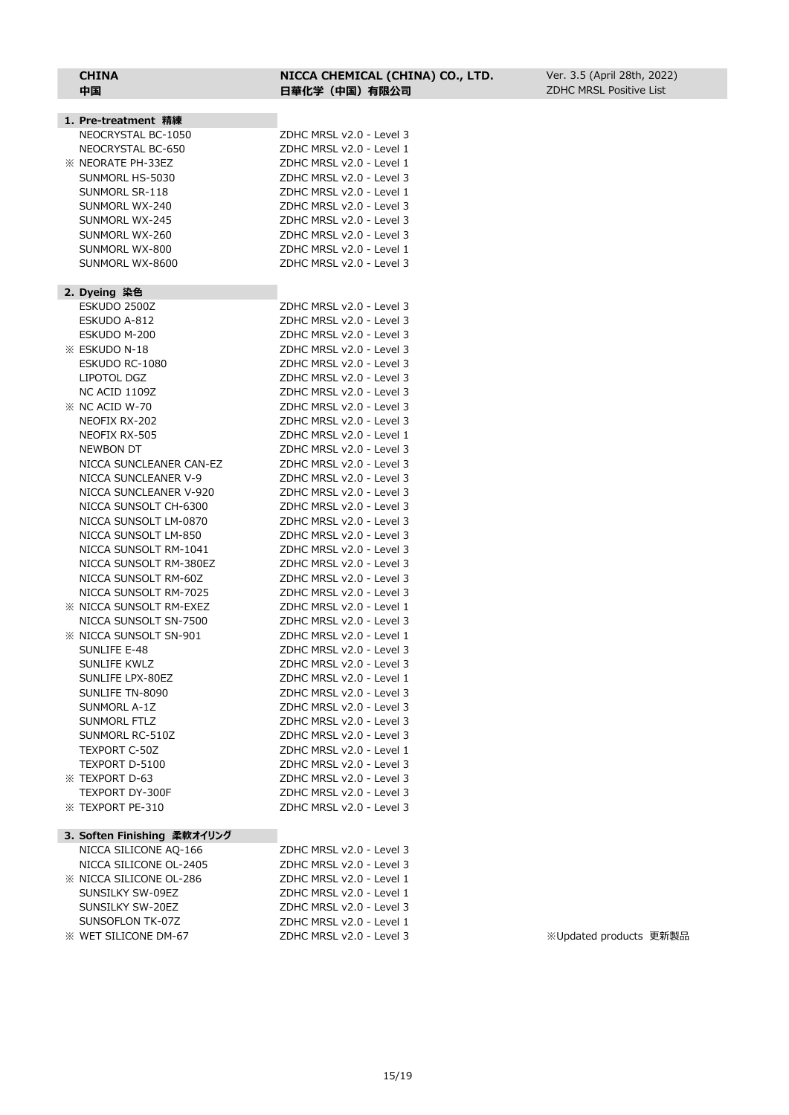#### **CHINA NICCA CHEMICAL (CHINA) CO., LTD. 中国 日華化学(中国)有限公司**

| 1. Pre-treatment 精練                                  |                          |
|------------------------------------------------------|--------------------------|
| NEOCRYSTAL BC-1050                                   | ZDHC MRSL v2.0 - Level 3 |
| NEOCRYSTAL BC-650                                    | ZDHC MRSL v2.0 - Level 1 |
| <b>※ NEORATE PH-33EZ</b>                             | ZDHC MRSL v2.0 - Level 1 |
| SUNMORL HS-5030                                      | ZDHC MRSL v2.0 - Level 3 |
| SUNMORL SR-118                                       | ZDHC MRSL v2.0 - Level 1 |
| SUNMORL WX-240                                       | ZDHC MRSL v2.0 - Level 3 |
| SUNMORL WX-245                                       | ZDHC MRSL v2.0 - Level 3 |
| SUNMORL WX-260                                       | ZDHC MRSL v2.0 - Level 3 |
| SUNMORL WX-800                                       | ZDHC MRSL v2.0 - Level 1 |
| SUNMORL WX-8600                                      | ZDHC MRSL v2.0 - Level 3 |
|                                                      |                          |
| 2. Dyeing 染色                                         |                          |
| ESKUDO 2500Z                                         | ZDHC MRSL v2.0 - Level 3 |
| ESKUDO A-812                                         | ZDHC MRSL v2.0 - Level 3 |
| ESKUDO M-200                                         | ZDHC MRSL v2.0 - Level 3 |
| <b>※ ESKUDO N-18</b>                                 | ZDHC MRSL v2.0 - Level 3 |
| ESKUDO RC-1080                                       | ZDHC MRSL v2.0 - Level 3 |
| LIPOTOL DGZ                                          | ZDHC MRSL v2.0 - Level 3 |
| NC ACID 1109Z                                        | ZDHC MRSL v2.0 - Level 3 |
| <b>EX NC ACID W-70</b>                               | ZDHC MRSL v2.0 - Level 3 |
| NEOFIX RX-202                                        | ZDHC MRSL v2.0 - Level 3 |
| NEOFIX RX-505                                        | ZDHC MRSL v2.0 - Level 1 |
| <b>NEWBON DT</b>                                     | ZDHC MRSL v2.0 - Level 3 |
| NICCA SUNCLEANER CAN-EZ                              | ZDHC MRSL v2.0 - Level 3 |
| NICCA SUNCLEANER V-9                                 | ZDHC MRSL v2.0 - Level 3 |
| NICCA SUNCLEANER V-920                               | ZDHC MRSL v2.0 - Level 3 |
| NICCA SUNSOLT CH-6300                                | ZDHC MRSL v2.0 - Level 3 |
| NICCA SUNSOLT LM-0870                                | ZDHC MRSL v2.0 - Level 3 |
| NICCA SUNSOLT LM-850                                 | ZDHC MRSL v2.0 - Level 3 |
| NICCA SUNSOLT RM-1041                                | ZDHC MRSL v2.0 - Level 3 |
| NICCA SUNSOLT RM-380EZ                               | ZDHC MRSL v2.0 - Level 3 |
| NICCA SUNSOLT RM-60Z                                 | ZDHC MRSL v2.0 - Level 3 |
| NICCA SUNSOLT RM-7025                                | ZDHC MRSL v2.0 - Level 3 |
|                                                      |                          |
| <b>XX NICCA SUNSOLT RM-EXEZ</b>                      | ZDHC MRSL v2.0 - Level 1 |
| NICCA SUNSOLT SN-7500                                | ZDHC MRSL v2.0 - Level 3 |
| <b>XX NICCA SUNSOLT SN-901</b>                       | ZDHC MRSL v2.0 - Level 1 |
| <b>SUNLIFE E-48</b>                                  | ZDHC MRSL v2.0 - Level 3 |
| SUNLIFE KWLZ                                         | ZDHC MRSL v2.0 - Level 3 |
| SUNLIFE LPX-80EZ                                     | ZDHC MRSL v2.0 - Level 1 |
| SUNLIFE TN-8090                                      | ZDHC MRSL v2.0 - Level 3 |
| SUNMORL A-1Z                                         | ZDHC MRSL v2.0 - Level 3 |
| SUNMORL FTLZ                                         | ZDHC MRSL v2.0 - Level 3 |
| SUNMORL RC-510Z                                      | ZDHC MRSL v2.0 - Level 3 |
| <b>TEXPORT C-50Z</b>                                 | ZDHC MRSL v2.0 - Level 1 |
| TEXPORT D-5100                                       | ZDHC MRSL v2.0 - Level 3 |
| <b>XX TEXPORT D-63</b>                               | ZDHC MRSL v2.0 - Level 3 |
| TEXPORT DY-300F                                      | ZDHC MRSL v2.0 - Level 3 |
| <b>※ TEXPORT PE-310</b>                              | ZDHC MRSL v2.0 - Level 3 |
|                                                      |                          |
| 3. Soften Finishing 柔軟オイリング<br>NICCA SILICONE AQ-166 | ZDHC MRSL v2.0 - Level 3 |
| NICCA SILICONE OL-2405                               | ZDHC MRSL v2.0 - Level 3 |
|                                                      |                          |
| <b>XX NICCA SILICONE OL-286</b>                      | ZDHC MRSL v2.0 - Level 1 |

SUNSILKY SW-09EZ ZDHC MRSL v2.0 - Level 1 SUNSILKY SW-20EZ<br>
ZDHC MRSL v2.0 - Level 3 SUNSOFLON TK-07Z ZDHC MRSL v2.0 - Level 1 ※ WET SILICONE DM-67 ZDHC MRSL v2.0 - Level 3 ※Updated products 更新製品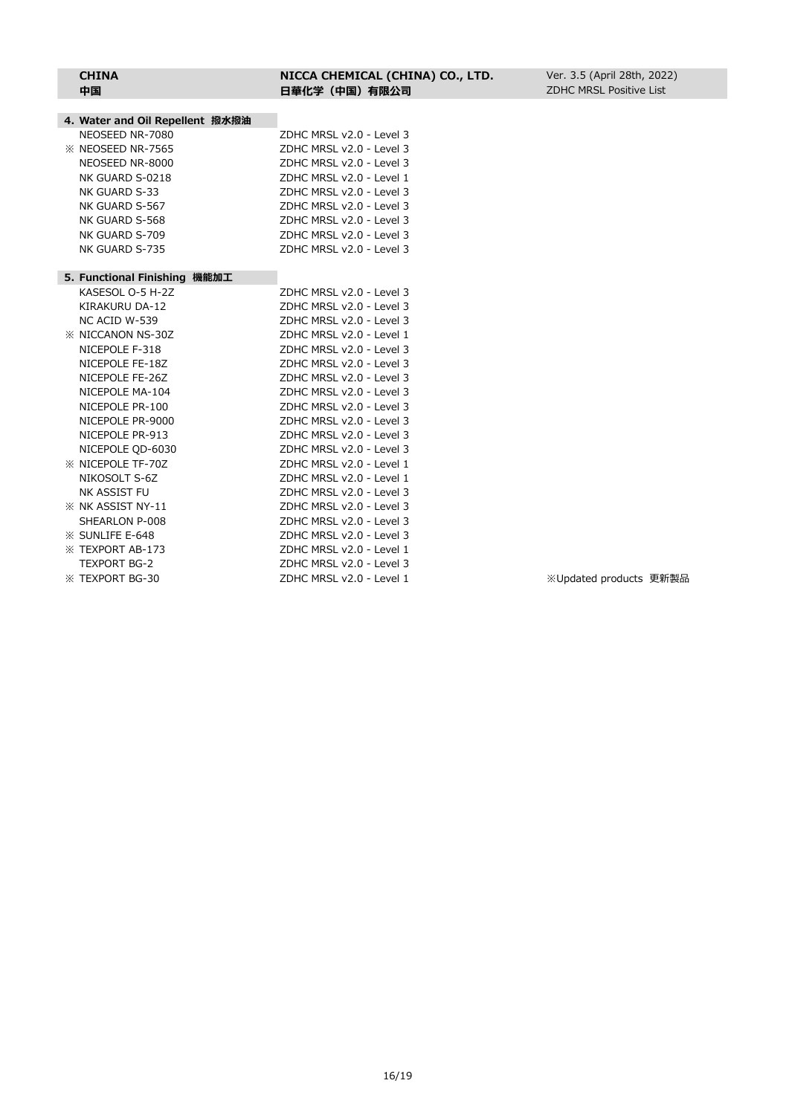| 4. Water and Oil Repellent 撥水撥油 |                          |                        |  |
|---------------------------------|--------------------------|------------------------|--|
| NEOSEED NR-7080                 | ZDHC MRSL v2.0 - Level 3 |                        |  |
| <b>XX NEOSEED NR-7565</b>       | ZDHC MRSL v2.0 - Level 3 |                        |  |
| NEOSEED NR-8000                 | ZDHC MRSL v2.0 - Level 3 |                        |  |
| NK GUARD S-0218                 | ZDHC MRSL v2.0 - Level 1 |                        |  |
| NK GUARD S-33                   | ZDHC MRSL v2.0 - Level 3 |                        |  |
| NK GUARD S-567                  | ZDHC MRSL v2.0 - Level 3 |                        |  |
| NK GUARD S-568                  | ZDHC MRSL v2.0 - Level 3 |                        |  |
| NK GUARD S-709                  | ZDHC MRSL v2.0 - Level 3 |                        |  |
| NK GUARD S-735                  | ZDHC MRSL v2.0 - Level 3 |                        |  |
|                                 |                          |                        |  |
| 5. Functional Finishing 機能加工    |                          |                        |  |
| KASESOL O-5 H-2Z                | ZDHC MRSL v2.0 - Level 3 |                        |  |
| KIRAKURU DA-12                  | ZDHC MRSL v2.0 - Level 3 |                        |  |
| NC ACID W-539                   | ZDHC MRSL v2.0 - Level 3 |                        |  |
| <b>EX NICCANON NS-30Z</b>       | ZDHC MRSL v2.0 - Level 1 |                        |  |
| NICEPOLE F-318                  | ZDHC MRSL v2.0 - Level 3 |                        |  |
| NICEPOLE FE-18Z                 | ZDHC MRSL v2.0 - Level 3 |                        |  |
| NICEPOLE FE-26Z                 | ZDHC MRSL v2.0 - Level 3 |                        |  |
| NICEPOLE MA-104                 | ZDHC MRSL v2.0 - Level 3 |                        |  |
| NICEPOLE PR-100                 | ZDHC MRSL v2.0 - Level 3 |                        |  |
| NICEPOLE PR-9000                | ZDHC MRSL v2.0 - Level 3 |                        |  |
| NICEPOLE PR-913                 | ZDHC MRSL v2.0 - Level 3 |                        |  |
| NICEPOLE OD-6030                | ZDHC MRSL v2.0 - Level 3 |                        |  |
| <b>XX NICEPOLE TF-70Z</b>       | ZDHC MRSL v2.0 - Level 1 |                        |  |
| NIKOSOLT S-6Z                   | ZDHC MRSL v2.0 - Level 1 |                        |  |
| NK ASSIST FU                    | ZDHC MRSL v2.0 - Level 3 |                        |  |
| <b>X NK ASSIST NY-11</b>        | ZDHC MRSL v2.0 - Level 3 |                        |  |
| SHEARLON P-008                  | ZDHC MRSL v2.0 - Level 3 |                        |  |
| <b>XX SUNLIFE E-648</b>         | ZDHC MRSL v2.0 - Level 3 |                        |  |
| <b>EXPORT AB-173</b>            | ZDHC MRSL v2.0 - Level 1 |                        |  |
| <b>TEXPORT BG-2</b>             | ZDHC MRSL v2.0 - Level 3 |                        |  |
| <b>EXPORT BG-30</b>             | ZDHC MRSL v2.0 - Level 1 | ※Updated products 更新製品 |  |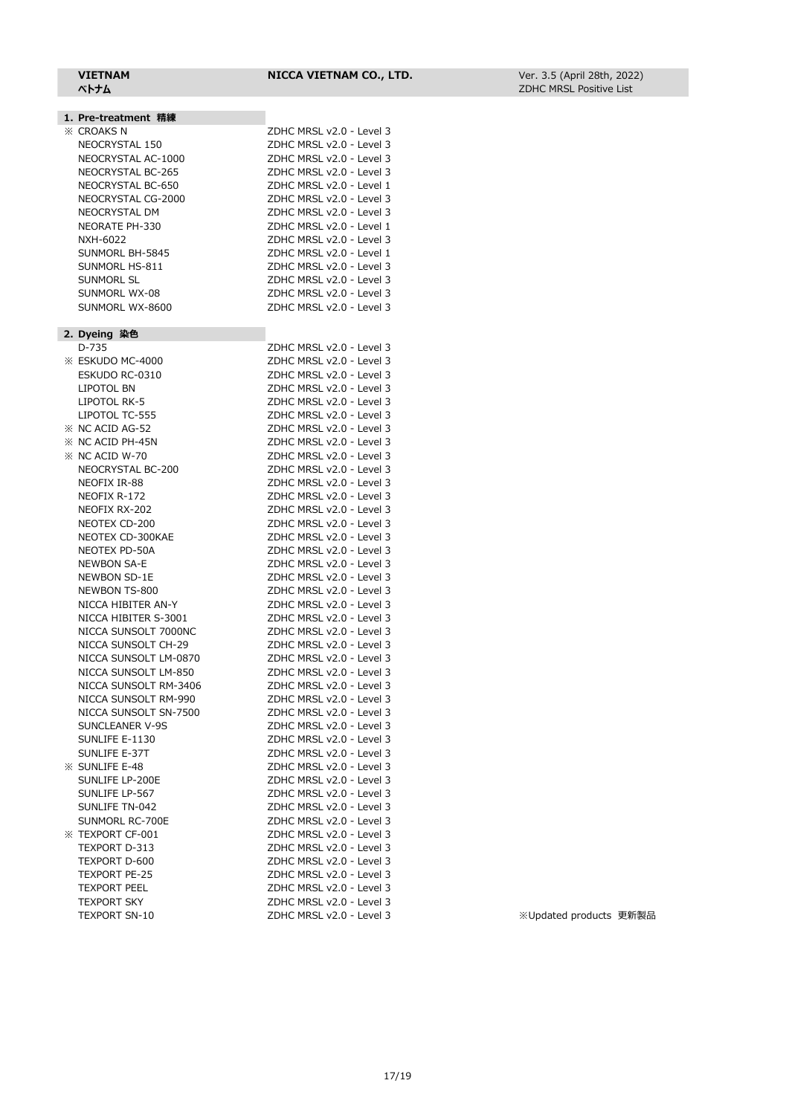#### **VIETNAM NICCA VIETNAM CO., LTD.**

#### **1. Pre-treatment 精練** ※ CROAKS N ZDHC MRSL v2.0 - Level 3 NEOCRYSTAL 150 ZDHC MRSL v2.0 - Level 3 NEOCRYSTAL AC-1000 ZDHC MRSL v2.0 - Level 3 NEOCRYSTAL BC-265 ZDHC MRSL v2.0 - Level 3 NEOCRYSTAL BC-650 ZDHC MRSL v2.0 - Level 1 NEOCRYSTAL CG-2000 ZDHC MRSL v2.0 - Level 3 NEOCRYSTAL DM ZDHC MRSL v2.0 - Level 3 NEORATE PH-330 ZDHC MRSL v2.0 - Level 1 NXH-6022 ZDHC MRSL v2.0 - Level 3 SUNMORL BH-5845 ZDHC MRSL v2.0 - Level 1 SUNMORL HS-811 ZDHC MRSL v2.0 - Level 3 SUNMORL SL ZDHC MRSL v2.0 - Level 3 SUNMORL WX-08 ZDHC MRSL v2.0 - Level 3 SUNMORL WX-8600 ZDHC MRSL v2.0 - Level 3 **2. Dyeing 染色** D-735 ZDHC MRSL v2.0 - Level 3 **ESKUDO MC-4000** ESKUDO RC-0310 LIPOTOL BN LIPOTOL RK-5 LIPOTOL TC-555  $\%$  NC ACID AG-52  $\%$  NC ACID PH-45N  $\%$  NC ACID W-70 NEOCRYSTAL BC-200 NEOFIX IR-88 NEOFIX R-172 NEOFIX RX-202 NEOTEX CD-200 NEOTEX CD-300KAE NEOTEX PD-50A NEWBON SA-E NEWBON SD-1E NEWBON TS-800 NICCA HIBITER AN-Y NICCA HIBITER S-3001 NICCA SUNSOLT 7000NC NICCA SUNSOLT CH-29 NICCA SUNSOLT LM-0870 NICCA SUNSOLT LM-850 NICCA SUNSOLT RM-3406 NICCA SUNSOLT RM-990 NICCA SUNSOLT SN-7500 SUNCLEANER V-9S SUNLIFE E-1130 SUNLIFE E-37T  $\%$  SUNLIFE E-48 SUNLIFE LP-200E

SUNLIFE LP-567 SUNLIFE TN-042 SUNMORL RC-700E  $\%$  TEXPORT CF-001 TEXPORT D-313 TEXPORT D-600 TEXPORT PE-25 TEXPORT PEEL **TEXPORT SKY** 

| D-735                 | ZDHC MRSL v2.0 - Level 3 |                        |
|-----------------------|--------------------------|------------------------|
| ESKUDO MC-4000        | ZDHC MRSL v2.0 - Level 3 |                        |
| ESKUDO RC-0310        | ZDHC MRSL v2.0 - Level 3 |                        |
| LIPOTOL BN            | ZDHC MRSL v2.0 - Level 3 |                        |
| LIPOTOL RK-5          | ZDHC MRSL v2.0 - Level 3 |                        |
| LIPOTOL TC-555        | ZDHC MRSL v2.0 - Level 3 |                        |
| NC ACID AG-52         | ZDHC MRSL v2.0 - Level 3 |                        |
| NC ACID PH-45N        | ZDHC MRSL v2.0 - Level 3 |                        |
| NC ACID W-70          | ZDHC MRSL v2.0 - Level 3 |                        |
| NEOCRYSTAL BC-200     | ZDHC MRSL v2.0 - Level 3 |                        |
| NEOFIX IR-88          | ZDHC MRSL v2.0 - Level 3 |                        |
| NEOFIX R-172          | ZDHC MRSL v2.0 - Level 3 |                        |
| NEOFIX RX-202         | ZDHC MRSL v2.0 - Level 3 |                        |
| NEOTEX CD-200         | ZDHC MRSL v2.0 - Level 3 |                        |
| NEOTEX CD-300KAE      | ZDHC MRSL v2.0 - Level 3 |                        |
| NEOTEX PD-50A         | ZDHC MRSL v2.0 - Level 3 |                        |
| <b>NEWBON SA-E</b>    | ZDHC MRSL v2.0 - Level 3 |                        |
| NEWBON SD-1E          | ZDHC MRSL v2.0 - Level 3 |                        |
| NEWBON TS-800         | ZDHC MRSL v2.0 - Level 3 |                        |
| NICCA HIBITER AN-Y    | ZDHC MRSL v2.0 - Level 3 |                        |
| NICCA HIBITER S-3001  | ZDHC MRSL v2.0 - Level 3 |                        |
| NICCA SUNSOLT 7000NC  | ZDHC MRSL v2.0 - Level 3 |                        |
| NICCA SUNSOLT CH-29   | ZDHC MRSL v2.0 - Level 3 |                        |
| NICCA SUNSOLT LM-0870 | ZDHC MRSL v2.0 - Level 3 |                        |
| NICCA SUNSOLT LM-850  | ZDHC MRSL v2.0 - Level 3 |                        |
| NICCA SUNSOLT RM-3406 | ZDHC MRSL v2.0 - Level 3 |                        |
| NICCA SUNSOLT RM-990  | ZDHC MRSL v2.0 - Level 3 |                        |
| NICCA SUNSOLT SN-7500 | ZDHC MRSL v2.0 - Level 3 |                        |
| SUNCLEANER V-9S       | ZDHC MRSL v2.0 - Level 3 |                        |
| SUNLIFE E-1130        | ZDHC MRSL v2.0 - Level 3 |                        |
| SUNLIFE E-37T         | ZDHC MRSL v2.0 - Level 3 |                        |
| SUNLIFE E-48          | ZDHC MRSL v2.0 - Level 3 |                        |
| SUNLIFE LP-200E       | ZDHC MRSL v2.0 - Level 3 |                        |
| SUNLIFE LP-567        | ZDHC MRSL v2.0 - Level 3 |                        |
| SUNLIFE TN-042        | ZDHC MRSL v2.0 - Level 3 |                        |
| SUNMORL RC-700E       | ZDHC MRSL v2.0 - Level 3 |                        |
| <b>TEXPORT CF-001</b> | ZDHC MRSL v2.0 - Level 3 |                        |
| TEXPORT D-313         | ZDHC MRSL v2.0 - Level 3 |                        |
| TEXPORT D-600         | ZDHC MRSL v2.0 - Level 3 |                        |
| <b>TEXPORT PE-25</b>  | ZDHC MRSL v2.0 - Level 3 |                        |
| <b>TEXPORT PEEL</b>   | ZDHC MRSL v2.0 - Level 3 |                        |
| <b>TEXPORT SKY</b>    | ZDHC MRSL v2.0 - Level 3 |                        |
| <b>TEXPORT SN-10</b>  | ZDHC MRSL v2.0 - Level 3 | ※Updated products 更新製品 |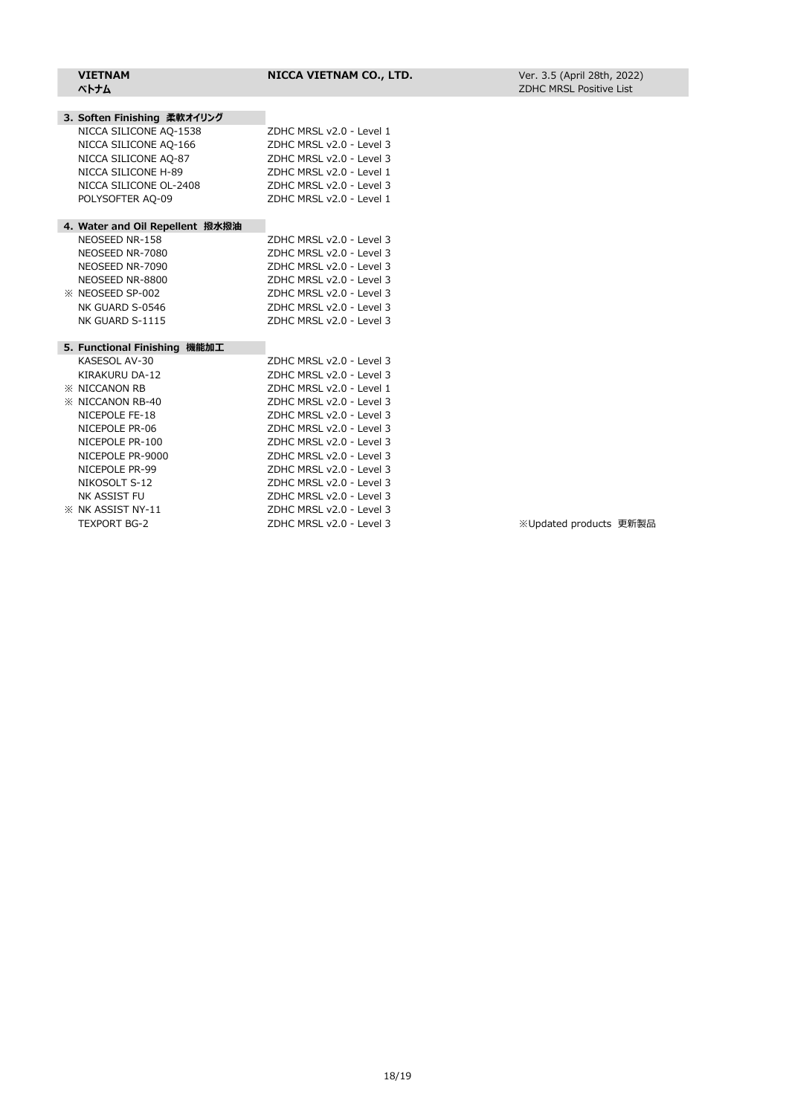| 3. Soften Finishing 柔軟オイリング     |                          |
|---------------------------------|--------------------------|
| NICCA SILICONE AQ-1538          | ZDHC MRSL v2.0 - Level 1 |
| NICCA SILICONE AQ-166           | ZDHC MRSL v2.0 - Level 3 |
| NICCA SILICONE AQ-87            | ZDHC MRSL v2.0 - Level 3 |
| NICCA SILICONE H-89             | ZDHC MRSL v2.0 - Level 1 |
| NICCA SILICONE OL-2408          | ZDHC MRSL v2.0 - Level 3 |
| POLYSOFTER AQ-09                | ZDHC MRSL v2.0 - Level 1 |
|                                 |                          |
| 4. Water and Oil Repellent 撥水撥油 |                          |
| NEOSEED NR-158                  | ZDHC MRSL v2.0 - Level 3 |
| NEOSEED NR-7080                 | ZDHC MRSL v2.0 - Level 3 |
| NEOSEED NR-7090                 | ZDHC MRSL v2.0 - Level 3 |
| NEOSEED NR-8800                 | ZDHC MRSL v2.0 - Level 3 |
| <b>XX NEOSEED SP-002</b>        | ZDHC MRSL v2.0 - Level 3 |
| NK GUARD S-0546                 | ZDHC MRSL v2.0 - Level 3 |
| NK GUARD S-1115                 | ZDHC MRSL v2.0 - Level 3 |
|                                 |                          |
| 5. Functional Finishing 機能加工    |                          |
| KASESOL AV-30                   | ZDHC MRSL v2.0 - Level 3 |
| KIRAKURU DA-12                  | ZDHC MRSL v2.0 - Level 3 |
| <b><i>X</i></b> NICCANON RB     | ZDHC MRSL v2.0 - Level 1 |
| <b>※ NICCANON RB-40</b>         | ZDHC MRSL v2.0 - Level 3 |
| NICEPOLE FE-18                  | ZDHC MRSL v2.0 - Level 3 |
| NICEPOLE PR-06                  | ZDHC MRSL v2.0 - Level 3 |
| NICEPOLE PR-100                 | ZDHC MRSL v2.0 - Level 3 |
| NICEPOLE PR-9000                | ZDHC MRSL v2.0 - Level 3 |
| NICEPOLE PR-99                  | ZDHC MRSL v2.0 - Level 3 |
| NIKOSOLT S-12                   | ZDHC MRSL v2.0 - Level 3 |
| NK ASSIST FU                    | ZDHC MRSL v2.0 - Level 3 |

※ NK ASSIST NY-11 ZDHC MRSL v2.0 - Level 3 TEXPORT BG-2 <br>
ZDHC MRSL v2.0 - Level 3 X / Web Xupdated products 更新製品